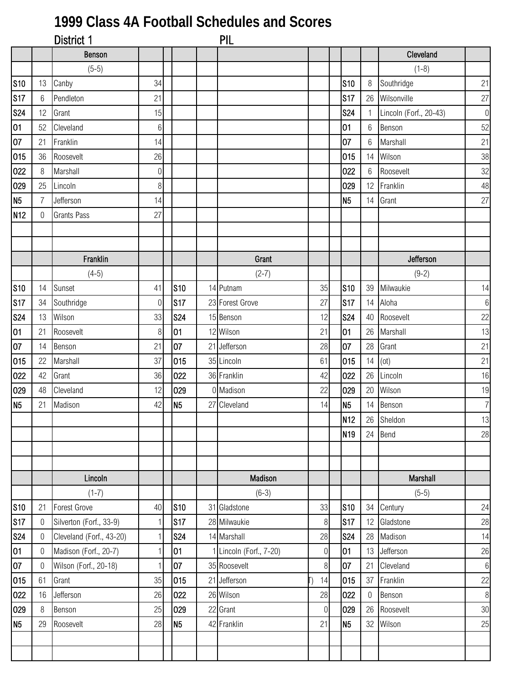## **1999 Class 4A Football Schedules and Scores**

|                 |                  | District 1               |                  |                | <b>PIL</b>              |                  |                 |                  |                        |                |
|-----------------|------------------|--------------------------|------------------|----------------|-------------------------|------------------|-----------------|------------------|------------------------|----------------|
|                 |                  | Benson                   |                  |                |                         |                  |                 |                  | Cleveland              |                |
|                 |                  | $(5-5)$                  |                  |                |                         |                  |                 |                  | $(1-8)$                |                |
| <b>S10</b>      | 13               | Canby                    | 34               |                |                         |                  | <b>S10</b>      | 8                | Southridge             | 21             |
| <b>S17</b>      | 6                | Pendleton                | 21               |                |                         |                  | S17             |                  | 26 Wilsonville         | 27             |
| <b>S24</b>      | 12               | Grant                    | 15               |                |                         |                  | <b>S24</b>      | $\mathbf{1}$     | Lincoln (Forf., 20-43) | $\overline{0}$ |
| 01              | 52               | Cleveland                | $6\,$            |                |                         |                  | 01              | 6                | Benson                 | 52             |
| 07              | 21               | Franklin                 | 14               |                |                         |                  | 07              | 6                | Marshall               | 21             |
| 015             | 36               | Roosevelt                | 26               |                |                         |                  | 015             | 14               | Wilson                 | 38             |
| 022             | 8                | Marshall                 | $\boldsymbol{0}$ |                |                         |                  | 022             | 6                | Roosevelt              | 32             |
| 029             | 25               | Lincoln                  | 8                |                |                         |                  | 029             | 12               | Franklin               | 48             |
| N <sub>5</sub>  | $\overline{7}$   | Jefferson                | 14               |                |                         |                  | N <sub>5</sub>  | 14               | Grant                  | 27             |
| N <sub>12</sub> | $\mathbf 0$      | <b>Grants Pass</b>       | 27               |                |                         |                  |                 |                  |                        |                |
|                 |                  |                          |                  |                |                         |                  |                 |                  |                        |                |
|                 |                  |                          |                  |                |                         |                  |                 |                  |                        |                |
|                 |                  | Franklin                 |                  |                | Grant                   |                  |                 |                  | Jefferson              |                |
|                 |                  | $(4-5)$                  |                  |                | $(2-7)$                 |                  |                 |                  | $(9-2)$                |                |
| <b>S10</b>      | 14               | Sunset                   | 41               | <b>S10</b>     | 14 Putnam               | 35               | <b>S10</b>      | 39               | Milwaukie              | 14             |
| <b>S17</b>      | 34               | Southridge               | $\mathbf 0$      | S17            | 23 Forest Grove         | 27               | S17             | 14               | Aloha                  | $6\,$          |
| <b>S24</b>      | 13               | Wilson                   | 33               | <b>S24</b>     | 15 Benson               | 12               | <b>S24</b>      | 40               | Roosevelt              | 22             |
| 01              | 21               | Roosevelt                | 8                | 01             | 12 Wilson               | 21               | 01              | 26               | Marshall               | 13             |
| 07              | 14               | Benson                   | 21               | 07             | 21 Jefferson            | 28               | 07              | 28               | Grant                  | 21             |
| 015             | 22               | Marshall                 | 37               | 015            | 35 Lincoln              | 61               | 015             | 14               | (ot)                   | 21             |
| 022             | 42               | Grant                    | 36               | 022            | 36 Franklin             | 42               | 022             | 26               | Lincoln                | 16             |
| 029             | 48               | Cleveland                | 12               | 029            | 0 Madison               | 22               | 029             | 20               | Wilson                 | 19             |
| N <sub>5</sub>  | 21               | Madison                  | 42               | N <sub>5</sub> | 27 Cleveland            | 14               | N <sub>5</sub>  | 14               | Benson                 | 7              |
|                 |                  |                          |                  |                |                         |                  | N <sub>12</sub> |                  | 26 Sheldon             | 13             |
|                 |                  |                          |                  |                |                         |                  | N <sub>19</sub> |                  | 24 Bend                | 28             |
|                 |                  |                          |                  |                |                         |                  |                 |                  |                        |                |
|                 |                  |                          |                  |                |                         |                  |                 |                  |                        |                |
|                 |                  | Lincoln                  |                  |                | Madison                 |                  |                 |                  | Marshall               |                |
|                 |                  | $(1-7)$                  |                  |                | $(6-3)$                 |                  |                 |                  | $(5-5)$                |                |
| <b>S10</b>      | 21               | <b>Forest Grove</b>      | 40               | <b>S10</b>     | 31 Gladstone            | 33               | <b>S10</b>      | 34               | Century                | 24             |
| <b>S17</b>      | $\boldsymbol{0}$ | Silverton (Forf., 33-9)  | $\mathbf{1}$     | S17            | 28 Milwaukie            | $\,8\,$          | S17             | 12               | Gladstone              | 28             |
| <b>S24</b>      | $\mathbf 0$      | Cleveland (Forf., 43-20) | 1                | <b>S24</b>     | 14 Marshall             | 28               | <b>S24</b>      | 28               | Madison                | 14             |
| 01              | $\overline{0}$   | Madison (Forf., 20-7)    | 1                | 01             | 1 Lincoln (Forf., 7-20) | $\boldsymbol{0}$ | 01              | 13               | Jefferson              | 26             |
| 07              | $\mathbf 0$      | Wilson (Forf., 20-18)    | 1                | 07             | 35 Roosevelt            | $\,8\,$          | 07              | 21               | Cleveland              | 6              |
| 015             | 61               | Grant                    | 35               | 015            | 21 Jefferson            | 14               | 015             | 37               | Franklin               | 22             |
| 022             | 16               | Jefferson                | 26               | 022            | 26 Wilson               | 28               | 022             | $\boldsymbol{0}$ | Benson                 | 8 <sup>1</sup> |
| 029             | 8                | Benson                   | 25               | 029            | 22 Grant                | $\overline{0}$   | 029             | 26               | Roosevelt              | 30             |
| <b>N5</b>       | 29               | Roosevelt                | 28               | N <sub>5</sub> | 42 Franklin             | 21               | N <sub>5</sub>  | 32               | Wilson                 | 25             |
|                 |                  |                          |                  |                |                         |                  |                 |                  |                        |                |
|                 |                  |                          |                  |                |                         |                  |                 |                  |                        |                |
|                 |                  |                          |                  |                |                         |                  |                 |                  |                        |                |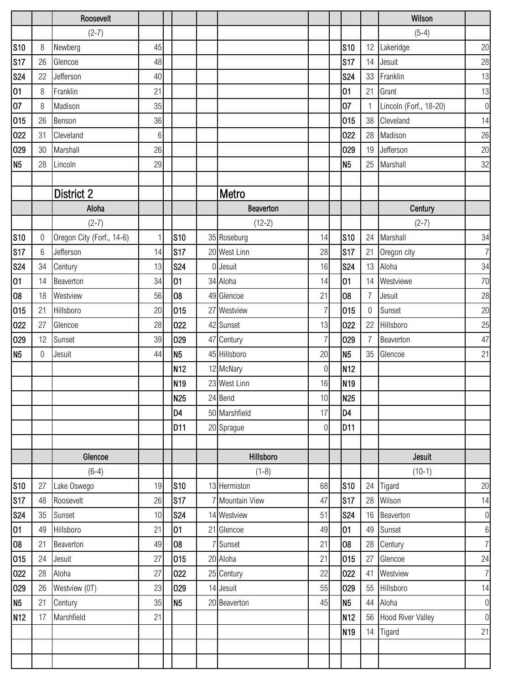|                 |         | Roosevelt                 |    |                 |                  |                |                 |                 | Wilson                   |                  |
|-----------------|---------|---------------------------|----|-----------------|------------------|----------------|-----------------|-----------------|--------------------------|------------------|
|                 |         | $(2-7)$                   |    |                 |                  |                |                 |                 | $(5-4)$                  |                  |
| <b>S10</b>      | 8       | Newberg                   | 45 |                 |                  |                | <b>S10</b>      | 12 <sup>1</sup> | Lakeridge                | 20               |
| <b>S17</b>      | 26      | Glencoe                   | 48 |                 |                  |                | S <sub>17</sub> | 14              | Jesuit                   | 28               |
| <b>S24</b>      | 22      | Jefferson                 | 40 |                 |                  |                | <b>S24</b>      | 33              | Franklin                 | 13               |
| 01              | 8       | Franklin                  | 21 |                 |                  |                | 01              | 21              | Grant                    | 13               |
| 07              | $\,8\,$ | Madison                   | 35 |                 |                  |                | 07              |                 | Lincoln (Forf., 18-20)   | $\boldsymbol{0}$ |
| 015             | 26      | Benson                    | 36 |                 |                  |                | 015             | 38              | Cleveland                | 14               |
| 022             | 31      | Cleveland                 | 6  |                 |                  |                | 022             | 28              | Madison                  | 26               |
| 029             | 30      | Marshall                  | 26 |                 |                  |                | 029             | 19              | Jefferson                | 20               |
| N <sub>5</sub>  | 28      | Lincoln                   | 29 |                 |                  |                | N <sub>5</sub>  | 25              | Marshall                 | 32               |
|                 |         |                           |    |                 |                  |                |                 |                 |                          |                  |
|                 |         | <b>District 2</b>         |    |                 | Metro            |                |                 |                 |                          |                  |
|                 |         | Aloha                     |    |                 | <b>Beaverton</b> |                |                 |                 | Century                  |                  |
|                 |         | $(2-7)$                   |    |                 | $(12-2)$         |                |                 |                 | $(2-7)$                  |                  |
| <b>S10</b>      | 0       | Oregon City (Forf., 14-6) | 1  | <b>S10</b>      | 35 Roseburg      | 14             | <b>S10</b>      | 24              | Marshall                 | 34               |
| S17             | 6       | Jefferson                 | 14 | S17             | 20 West Linn     | 28             | <b>S17</b>      | 21              | Oregon city              | $\overline{7}$   |
| <b>S24</b>      | 34      | Century                   | 13 | <b>S24</b>      | 0 Jesuit         | 16             | <b>S24</b>      | 13              | Aloha                    | 34               |
| 01              | 14      | Beaverton                 | 34 | 01              | 34 Aloha         | 14             | 01              | 14              | Westviewe                | 70               |
| 08              | 18      | Westview                  | 56 | 08              | 49 Glencoe       | 21             | 08              | $\overline{7}$  | Jesuit                   | 28               |
| 015             | 21      | Hillsboro                 | 20 | 015             | 27 Westview      | 7              | 015             | 0               | Sunset                   | 20               |
| 022             | 27      | Glencoe                   | 28 | 022             | 42 Sunset        | 13             | 022             | 22              | Hillsboro                | 25               |
| 029             | 12      | Sunset                    | 39 | 029             | 47 Century       | 7              | 029             | 7               | Beaverton                | 47               |
| N <sub>5</sub>  | 0       | Jesuit                    | 44 | N <sub>5</sub>  | 45 Hillsboro     | 20             | N <sub>5</sub>  | 35              | Glencoe                  | 21               |
|                 |         |                           |    | N <sub>12</sub> | 12 McNary        | $\mathbf 0$    | N <sub>12</sub> |                 |                          |                  |
|                 |         |                           |    | N <sub>19</sub> | 23 West Linn     | 16             | N <sub>19</sub> |                 |                          |                  |
|                 |         |                           |    | <b>N25</b>      | 24 Bend          | 10             | N <sub>25</sub> |                 |                          |                  |
|                 |         |                           |    | D <sub>4</sub>  | 50 Marshfield    | 17             | D <sub>4</sub>  |                 |                          |                  |
|                 |         |                           |    | D <sub>11</sub> | 20 Sprague       | $\overline{0}$ | D <sub>11</sub> |                 |                          |                  |
|                 |         |                           |    |                 |                  |                |                 |                 |                          |                  |
|                 |         | Glencoe                   |    |                 | Hillsboro        |                |                 |                 | Jesuit                   |                  |
|                 |         | $(6-4)$                   |    |                 | $(1-8)$          |                |                 |                 | $(10-1)$                 |                  |
| <b>S10</b>      | 27      | Lake Oswego               | 19 | <b>S10</b>      | 13 Hermiston     | 68             | <b>S10</b>      | 24              | Tigard                   | 20               |
| <b>S17</b>      | 48      | Roosevelt                 | 26 | S <sub>17</sub> | 7 Mountain View  | 47             | <b>S17</b>      | 28              | Wilson                   | 14               |
| <b>S24</b>      | 35      | Sunset                    | 10 | <b>S24</b>      | 14 Westview      | 51             | <b>S24</b>      |                 | 16 Beaverton             | $\boldsymbol{0}$ |
| 01              | 49      | Hillsboro                 | 21 | 01              | 21 Glencoe       | 49             | 01              | 49              | Sunset                   | $\,6\,$          |
| 08              | 21      | Beaverton                 | 49 | 08              | 7 Sunset         | 21             | 08              | 28              | Century                  | $\overline{7}$   |
| 015             | 24      | Jesuit                    | 27 | 015             | 20 Aloha         | 21             | 015             | 27              | Glencoe                  | 24               |
| 022             | 28      | Aloha                     | 27 | 022             | 25 Century       | 22             | 022             | 41              | Westview                 | $\overline{7}$   |
| 029             | 26      | Westview (0T)             | 23 | 029             | 14 Jesuit        | 55             | 029             | 55              | Hillsboro                | 14               |
| N <sub>5</sub>  | 21      | Century                   | 35 | N <sub>5</sub>  | 20 Beaverton     | 45             | N <sub>5</sub>  | 44              | Aloha                    | $\boldsymbol{0}$ |
| N <sub>12</sub> | 17      | Marshfield                | 21 |                 |                  |                | N <sub>12</sub> | 56              | <b>Hood River Valley</b> | $\mathbf 0$      |
|                 |         |                           |    |                 |                  |                | N <sub>19</sub> | 14              | Tigard                   | 21               |
|                 |         |                           |    |                 |                  |                |                 |                 |                          |                  |
|                 |         |                           |    |                 |                  |                |                 |                 |                          |                  |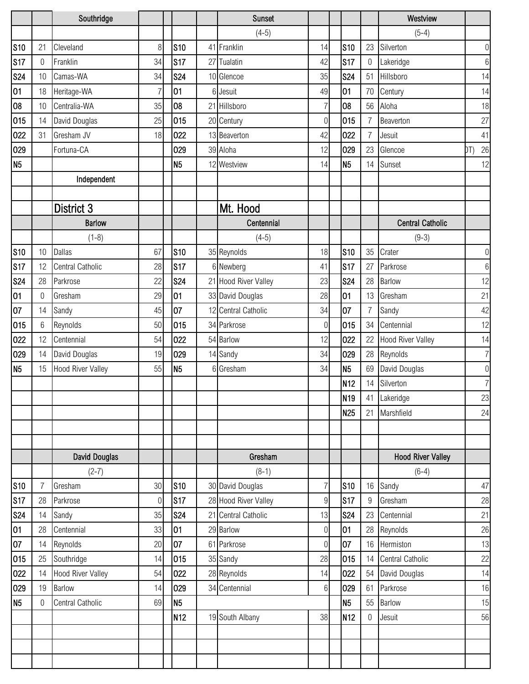|                |          | Southridge               |    |                 |    | <b>Sunset</b>        |                |                 |                | Westview                 |                |
|----------------|----------|--------------------------|----|-----------------|----|----------------------|----------------|-----------------|----------------|--------------------------|----------------|
|                |          |                          |    |                 |    | $(4-5)$              |                |                 |                | $(5-4)$                  |                |
| <b>S10</b>     | 21       | Cleveland                | 8  | <b>S10</b>      |    | 41 Franklin          | 14             | <b>S10</b>      | 23             | Silverton                | $\overline{0}$ |
| <b>S17</b>     | 0        | Franklin                 | 34 | <b>S17</b>      |    | 27 Tualatin          | 42             | S17             | 0              | Lakeridge                | $6\,$          |
| <b>S24</b>     | 10       | Camas-WA                 | 34 | <b>S24</b>      |    | 10 Glencoe           | 35             | <b>S24</b>      | 51             | Hillsboro                | 14             |
| 01             | 18       | Heritage-WA              | 7  | 01              | 61 | Jesuit               | 49             | 01              | 70             | Century                  | 14             |
| 08             | 10       | Centralia-WA             | 35 | 08              |    | 21 Hillsboro         | 7              | 08              | 56             | Aloha                    | 18             |
| 015            | 14       | David Douglas            | 25 | 015             |    | 20 Century           | 0              | 015             | 7              | Beaverton                | 27             |
| 022            | 31       | Gresham JV               | 18 | 022             |    | 13 Beaverton         | 42             | 022             | 7              | Jesuit                   | 41             |
| 029            |          | Fortuna-CA               |    | 029             |    | 39 Aloha             | 12             | 029             | 23             | Glencoe                  | $26\,$<br>DT)  |
| N <sub>5</sub> |          |                          |    | N <sub>5</sub>  |    | 12 Westview          | 14             | N <sub>5</sub>  | 14             | Sunset                   | 12             |
|                |          | Independent              |    |                 |    |                      |                |                 |                |                          |                |
|                |          |                          |    |                 |    |                      |                |                 |                |                          |                |
|                |          | District 3               |    |                 |    | Mt. Hood             |                |                 |                |                          |                |
|                |          | <b>Barlow</b>            |    |                 |    | Centennial           |                |                 |                | <b>Central Catholic</b>  |                |
|                |          | $(1-8)$                  |    |                 |    | $(4-5)$              |                |                 |                | $(9-3)$                  |                |
| <b>S10</b>     | 10       | <b>Dallas</b>            | 67 | S <sub>10</sub> |    | 35 Reynolds          | 18             | <b>S10</b>      | 35             | Crater                   | $\overline{0}$ |
| <b>S17</b>     | 12       | Central Catholic         | 28 | S17             |    | 6 Newberg            | 41             | <b>S17</b>      | 27             | Parkrose                 | $6\,$          |
| <b>S24</b>     | 28       | Parkrose                 | 22 | <b>S24</b>      |    | 21 Hood River Valley | 23             | <b>S24</b>      | 28             | Barlow                   | 12             |
| 01             | 0        | Gresham                  | 29 | 01              |    | 33 David Douglas     | 28             | 01              | 13             | Gresham                  | 21             |
| 07             | 14       | Sandy                    | 45 | 07              |    | 12 Central Catholic  | 34             | 07              | $\overline{7}$ | Sandy                    | 42             |
| 015            | 6        | Reynolds                 | 50 | 015             |    | 34 Parkrose          | 0              | 015             | 34             | Centennial               | 12             |
| 022            | 12       | Centennial               | 54 | 022             |    | 54 Barlow            | 12             | 022             | 22             | <b>Hood River Valley</b> | 14             |
| 029            | 14       | David Douglas            | 19 | 029             |    | 14 Sandy             | 34             | 029             | 28             | Reynolds                 | 7 <sup>1</sup> |
| N <sub>5</sub> | 15       | <b>Hood River Valley</b> | 55 | N5              |    | 6 Gresham            | 34             | N <sub>5</sub>  | 69             | David Douglas            | $\overline{0}$ |
|                |          |                          |    |                 |    |                      |                | N <sub>12</sub> | 14             | Silverton                | 7 <sup>1</sup> |
|                |          |                          |    |                 |    |                      |                | N <sub>19</sub> |                | 41 Lakeridge             | 23             |
|                |          |                          |    |                 |    |                      |                | <b>N25</b>      | 21             | Marshfield               | 24             |
|                |          |                          |    |                 |    |                      |                |                 |                |                          |                |
|                |          |                          |    |                 |    |                      |                |                 |                |                          |                |
|                |          | <b>David Douglas</b>     |    |                 |    | Gresham              |                |                 |                | <b>Hood River Valley</b> |                |
|                |          | $(2-7)$                  |    |                 |    | $(8-1)$              |                |                 |                | $(6-4)$                  |                |
| <b>S10</b>     | 7        | Gresham                  | 30 | S <sub>10</sub> |    | 30 David Douglas     | 7              | <b>S10</b>      | 16             | Sandy                    | 47             |
| <b>S17</b>     | 28       | Parkrose                 | 0  | <b>S17</b>      |    | 28 Hood River Valley | $9\,$          | S17             | 9              | Gresham                  | 28             |
| <b>S24</b>     | 14       | Sandy                    | 35 | <b>S24</b>      |    | 21 Central Catholic  | 13             | <b>S24</b>      | 23             | Centennial               | 21             |
| 01             | 28       | Centennial               | 33 | 01              |    | 29 Barlow            | $\mathbf 0$    | 01              | 28             | Reynolds                 | 26             |
| 07             | 14       | Reynolds                 | 20 | 07              |    | 61 Parkrose          | $\overline{0}$ | 07              | 16             | Hermiston                | 13             |
| 015            | 25       | Southridge               | 14 | 015             |    | 35 Sandy             | 28             | 015             | 14             | Central Catholic         | 22             |
| 022            | 14       | <b>Hood River Valley</b> | 54 | 022             |    | 28 Reynolds          | 14             | 022             | 54             | David Douglas            | 14             |
| 029            | 19       | <b>Barlow</b>            | 14 | 029             |    | 34 Centennial        | 6              | 029             | 61             | Parkrose                 | 16             |
| N <sub>5</sub> | $\Omega$ | Central Catholic         | 69 | N <sub>5</sub>  |    |                      |                | N <sub>5</sub>  | 55             | <b>Barlow</b>            | 15             |
|                |          |                          |    | N <sub>12</sub> |    | 19 South Albany      | 38             | N <sub>12</sub> | 0              | Jesuit                   | 56             |
|                |          |                          |    |                 |    |                      |                |                 |                |                          |                |
|                |          |                          |    |                 |    |                      |                |                 |                |                          |                |
|                |          |                          |    |                 |    |                      |                |                 |                |                          |                |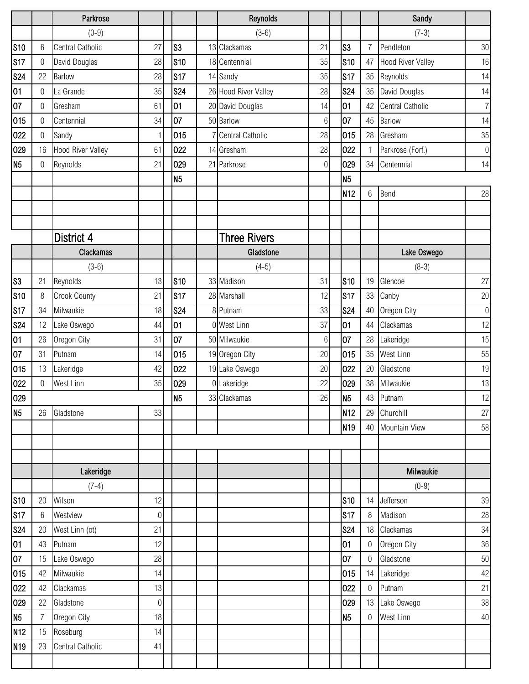|                 |                | Parkrose                 |                  |                | Reynolds             |             |                 |                 | Sandy                    |                  |
|-----------------|----------------|--------------------------|------------------|----------------|----------------------|-------------|-----------------|-----------------|--------------------------|------------------|
|                 |                | $(0-9)$                  |                  |                | $(3-6)$              |             |                 |                 | $(7-3)$                  |                  |
| <b>S10</b>      | 6              | Central Catholic         | 27               | S <sub>3</sub> | 13 Clackamas         | 21          | S <sub>3</sub>  | 7               | Pendleton                | 30               |
| <b>S17</b>      | 0              | David Douglas            | 28               | <b>S10</b>     | 18 Centennial        | 35          | <b>S10</b>      | 47              | <b>Hood River Valley</b> | 16               |
| <b>S24</b>      | 22             | <b>Barlow</b>            | 28               | <b>S17</b>     | 14 Sandy             | 35          | S17             | 35              | Reynolds                 | 14               |
| 01              | 0              | La Grande                | 35               | <b>S24</b>     | 26 Hood River Valley | 28          | <b>S24</b>      | 35              | David Douglas            | 14               |
| 07              | 0              | Gresham                  | 61               | 01             | 20 David Douglas     | 14          | 01              | 42              | Central Catholic         | $\overline{7}$   |
| 015             | 0              | Centennial               | 34               | 07             | 50 Barlow            | 6           | 07              | 45              | Barlow                   | 14               |
| 022             | 0              | Sandy                    | $\mathbf{1}$     | 015            | 7 Central Catholic   | 28          | 015             | 28              | Gresham                  | 35               |
| 029             | 16             | <b>Hood River Valley</b> | 61               | 022            | 14 Gresham           | 28          | 022             |                 | Parkrose (Forf.)         | $\boldsymbol{0}$ |
| N <sub>5</sub>  | 0              | Reynolds                 | 21               | 029            | 21 Parkrose          | $\mathbf 0$ | 029             | 34              | Centennial               | 14               |
|                 |                |                          |                  | N <sub>5</sub> |                      |             | N <sub>5</sub>  |                 |                          |                  |
|                 |                |                          |                  |                |                      |             | N <sub>12</sub> | $6\phantom{1}6$ | Bend                     | 28               |
|                 |                |                          |                  |                |                      |             |                 |                 |                          |                  |
|                 |                |                          |                  |                |                      |             |                 |                 |                          |                  |
|                 |                | District 4               |                  |                | <b>Three Rivers</b>  |             |                 |                 |                          |                  |
|                 |                | Clackamas                |                  |                | Gladstone            |             |                 |                 | Lake Oswego              |                  |
|                 |                | $(3-6)$                  |                  |                | $(4-5)$              |             |                 |                 | $(8-3)$                  |                  |
| S <sub>3</sub>  | 21             | Reynolds                 | 13               | <b>S10</b>     | 33 Madison           | 31          | <b>S10</b>      | 19              | Glencoe                  | 27               |
| <b>S10</b>      | 8              | <b>Crook County</b>      | 21               | <b>S17</b>     | 28 Marshall          | 12          | <b>S17</b>      | 33              | Canby                    | 20               |
| <b>S17</b>      | 34             | Milwaukie                | 18               | <b>S24</b>     | 8 Putnam             | 33          | <b>S24</b>      | 40              | Oregon City              | $\boldsymbol{0}$ |
| <b>S24</b>      | 12             | Lake Oswego              | 44               | 01             | 0 West Linn          | 37          | 01              | 44              | Clackamas                | 12               |
| 01              | 26             | Oregon City              | 31               | 07             | 50 Milwaukie         | 6           | 07              | 28              | Lakeridge                | 15               |
| 07              | 31             | Putnam                   | 14               | 015            | 19 Oregon City       | 20          | 015             | 35              | West Linn                | 55               |
| 015             | 13             | Lakeridge                | 42               | 022            | 19 Lake Oswego       | 20          | 022             | 20              | Gladstone                | 19               |
| 022             | $\overline{0}$ | <b>West Linn</b>         | 35               | 029            | 0 Lakeridge          | 22          | 029             | 38              | Milwaukie                | 13               |
| 029             |                |                          |                  | N <sub>5</sub> | 33 Clackamas         | 26          | N <sub>5</sub>  | 43              | Putnam                   | 12               |
| N <sub>5</sub>  | 26             | Gladstone                | 33               |                |                      |             | N <sub>12</sub> | 29              | Churchill                | 27               |
|                 |                |                          |                  |                |                      |             | N <sub>19</sub> | 40              | <b>Mountain View</b>     | 58               |
|                 |                |                          |                  |                |                      |             |                 |                 |                          |                  |
|                 |                |                          |                  |                |                      |             |                 |                 |                          |                  |
|                 |                | Lakeridge                |                  |                |                      |             |                 |                 | Milwaukie                |                  |
|                 |                | $(7-4)$                  |                  |                |                      |             |                 |                 | $(0-9)$                  |                  |
| <b>S10</b>      | 20             | Wilson                   | 12               |                |                      |             | <b>S10</b>      | 14              | Jefferson                | 39               |
| S17             | 6              | Westview                 | $\boldsymbol{0}$ |                |                      |             | S17             | 8               | Madison                  | 28               |
| <b>S24</b>      | 20             | West Linn (ot)           | 21               |                |                      |             | <b>S24</b>      | 18              | Clackamas                | 34               |
| 01              | 43             | Putnam                   | 12               |                |                      |             | 01              | 0               | Oregon City              | 36               |
| 07              | 15             | Lake Oswego              | 28               |                |                      |             | 07              | $\overline{0}$  | Gladstone                | 50               |
| 015             | 42             | Milwaukie                | 14               |                |                      |             | 015             | 14              | Lakeridge                | 42               |
| 022             | 42             | Clackamas                | 13               |                |                      |             | 022             | $\mathbf 0$     | Putnam                   | 21               |
| 029             | 22             | Gladstone                | $\boldsymbol{0}$ |                |                      |             | 029             |                 | 13 Lake Oswego           | 38               |
| N <sub>5</sub>  | $\overline{7}$ | Oregon City              | 18               |                |                      |             | N <sub>5</sub>  | $\theta$        | West Linn                | 40               |
| N <sub>12</sub> | 15             | Roseburg                 | 14               |                |                      |             |                 |                 |                          |                  |
| N <sub>19</sub> | 23             | Central Catholic         | 41               |                |                      |             |                 |                 |                          |                  |
|                 |                |                          |                  |                |                      |             |                 |                 |                          |                  |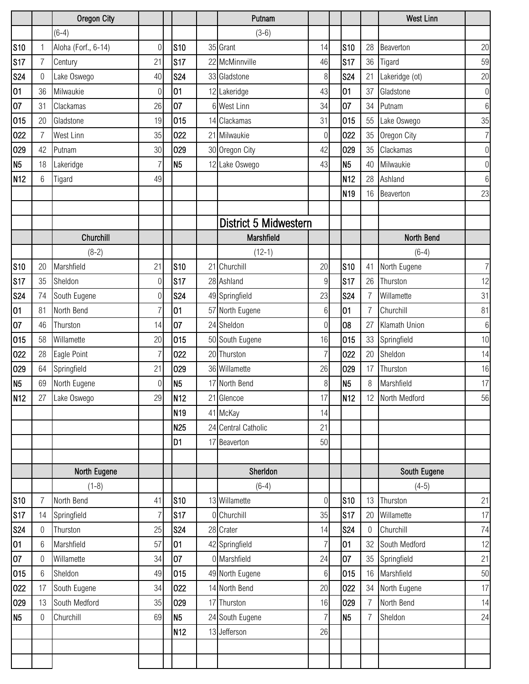|                 |                | <b>Oregon City</b>  |                  |                 | Putnam                |                  |                 |    | <b>West Linn</b> |                |
|-----------------|----------------|---------------------|------------------|-----------------|-----------------------|------------------|-----------------|----|------------------|----------------|
|                 |                | $(6-4)$             |                  |                 | $(3-6)$               |                  |                 |    |                  |                |
| <b>S10</b>      | $\mathbf{1}$   | Aloha (Forf., 6-14) | $\overline{0}$   | <b>S10</b>      | 35 Grant              | 14               | <b>S10</b>      | 28 | Beaverton        | 20             |
| <b>S17</b>      | $\overline{7}$ | Century             | 21               | <b>S17</b>      | 22 McMinnville        | 46               | <b>S17</b>      | 36 | Tigard           | 59             |
| <b>S24</b>      | 0              | Lake Oswego         | 40               | <b>S24</b>      | 33 Gladstone          | 8                | <b>S24</b>      | 21 | Lakeridge (ot)   | 20             |
| 01              | 36             | Milwaukie           | 0                | 01              | 12 Lakeridge          | 43               | 01              | 37 | Gladstone        | $\overline{0}$ |
| 07              | 31             | Clackamas           | 26               | 07              | 6 West Linn           | 34               | 107             | 34 | Putnam           | $6 \,$         |
| 015             | 20             | Gladstone           | 19               | 015             | 14 Clackamas          | 31               | 015             | 55 | Lake Oswego      | 35             |
| 022             | 7              | <b>West Linn</b>    | 35               | 022             | 21 Milwaukie          | $\mathbf 0$      | 022             | 35 | Oregon City      | 7 <sup>1</sup> |
| 029             | 42             | Putnam              | 30               | 029             | 30 Oregon City        | 42               | 029             | 35 | Clackamas        | $\overline{0}$ |
| N <sub>5</sub>  | 18             | Lakeridge           | 7                | N <sub>5</sub>  | 12 Lake Oswego        | 43               | N <sub>5</sub>  | 40 | Milwaukie        | $\overline{0}$ |
| N12             | 6              | Tigard              | 49               |                 |                       |                  | N <sub>12</sub> | 28 | Ashland          | $6 \,$         |
|                 |                |                     |                  |                 |                       |                  | N <sub>19</sub> | 16 | Beaverton        | 23             |
|                 |                |                     |                  |                 |                       |                  |                 |    |                  |                |
|                 |                |                     |                  |                 | District 5 Midwestern |                  |                 |    |                  |                |
|                 |                | Churchill           |                  |                 | Marshfield            |                  |                 |    | North Bend       |                |
|                 |                | $(8-2)$             |                  |                 | $(12-1)$              |                  |                 |    | $(6-4)$          |                |
| <b>S10</b>      | 20             | Marshfield          | 21               | <b>S10</b>      | 21 Churchill          | 20               | S <sub>10</sub> | 41 | North Eugene     | 7 <sup>1</sup> |
| <b>S17</b>      | 35             | Sheldon             | $\mathbf 0$      | <b>S17</b>      | 28 Ashland            | $\boldsymbol{9}$ | <b>S17</b>      | 26 | Thurston         | 12             |
| <b>S24</b>      | 74             | South Eugene        | $\boldsymbol{0}$ | <b>S24</b>      | 49 Springfield        | 23               | <b>S24</b>      |    | Willamette       | 31             |
| 01              | 81             | North Bend          | $\overline{7}$   | 01              | 57 North Eugene       | $6\,$            | 01              | 7  | Churchill        | 81             |
| 07              | 46             | Thurston            | 14               | 07              | 24 Sheldon            | $\overline{0}$   | 08              | 27 | Klamath Union    | $6 \mid$       |
| 015             | 58             | Willamette          | 20               | 015             | 50 South Eugene       | 16               | 015             | 33 | Springfield      | 10             |
| 022             | 28             | Eagle Point         | 7                | 022             | 20 Thurston           | 7                | 022             | 20 | Sheldon          | 14             |
| 029             | 64             | Springfield         | 21               | 029             | 36 Willamette         | 26               | 029             | 17 | Thurston         | 16             |
| N <sub>5</sub>  | 69             | North Eugene        | $\boldsymbol{0}$ | N <sub>5</sub>  | 17 North Bend         | 8                | N <sub>5</sub>  | 8  | Marshfield       | 17             |
| N <sub>12</sub> | 27             | Lake Oswego         | 29               | N <sub>12</sub> | 21 Glencoe            | 17               | N <sub>12</sub> |    | 12 North Medford | ${\bf 56}$     |
|                 |                |                     |                  | N <sub>19</sub> | 41 McKay              | 14               |                 |    |                  |                |
|                 |                |                     |                  | N <sub>25</sub> | 24 Central Catholic   | 21               |                 |    |                  |                |
|                 |                |                     |                  | D <sub>1</sub>  | 17 Beaverton          | 50               |                 |    |                  |                |
|                 |                |                     |                  |                 |                       |                  |                 |    |                  |                |
|                 |                | North Eugene        |                  |                 | Sherldon              |                  |                 |    | South Eugene     |                |
|                 |                | $(1-8)$             |                  |                 | $(6-4)$               |                  |                 |    | $(4-5)$          |                |
| <b>S10</b>      | 7              | North Bend          | 41               | <b>S10</b>      | 13 Willamette         | $\overline{0}$   | <b>S10</b>      | 13 | Thurston         | 21             |
| <b>S17</b>      | 14             | Springfield         | 7                | <b>S17</b>      | 0 Churchill           | 35               | <b>S17</b>      | 20 | Willamette       | 17             |
| <b>S24</b>      | 0              | Thurston            | 25               | <b>S24</b>      | 28 Crater             | 14               | <b>S24</b>      | 0  | Churchill        | 74             |
| 01              | 6              | Marshfield          | 57               | 01              | 42 Springfield        | $\overline{7}$   | 01              | 32 | South Medford    | 12             |
| 07              | 0              | Willamette          | 34               | 07              | 0 Marshfield          | 24               | 107             | 35 | Springfield      | 21             |
| 015             | 6              | Sheldon             | 49               | 015             | 49 North Eugene       | 6                | 015             | 16 | Marshfield       | 50             |
| 022             | 17             | South Eugene        | 34               | 022             | 14 North Bend         | 20               | 022             | 34 | North Eugene     | 17             |
| 029             | 13             | South Medford       | 35               | 029             | 17 Thurston           | 16               | 029             |    | North Bend       | 14             |
| N <sub>5</sub>  | 0              | Churchill           | 69               | N <sub>5</sub>  | 24 South Eugene       | 7                | N <sub>5</sub>  |    | Sheldon          | 24             |
|                 |                |                     |                  | N <sub>12</sub> | 13 Jefferson          | 26               |                 |    |                  |                |
|                 |                |                     |                  |                 |                       |                  |                 |    |                  |                |
|                 |                |                     |                  |                 |                       |                  |                 |    |                  |                |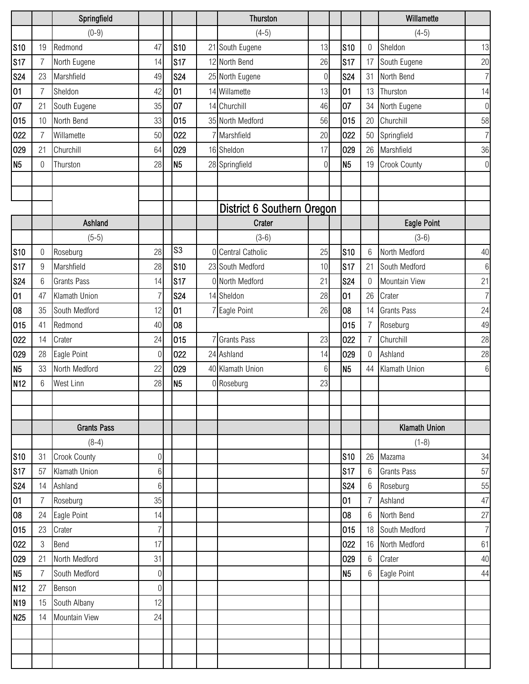|                 |                | Springfield          |                  |                | <b>Thurston</b>            |             |                 |                 | Willamette          |                  |
|-----------------|----------------|----------------------|------------------|----------------|----------------------------|-------------|-----------------|-----------------|---------------------|------------------|
|                 |                | $(0-9)$              |                  |                | $(4-5)$                    |             |                 |                 | $(4-5)$             |                  |
| <b>S10</b>      | 19             | Redmond              | 47               | <b>S10</b>     | 21 South Eugene            | 13          | S <sub>10</sub> | $\mathbf 0$     | Sheldon             | 13               |
| <b>S17</b>      | $\overline{7}$ | North Eugene         | 14               | S17            | 12 North Bend              | 26          | <b>S17</b>      | 17              | South Eugene        | 20               |
| <b>S24</b>      | 23             | Marshfield           | 49               | <b>S24</b>     | 25 North Eugene            | $\mathbf 0$ | <b>S24</b>      | 31              | North Bend          | $\overline{7}$   |
| 01              | 7              | Sheldon              | 42               | 01             | 14 Willamette              | 13          | 01              | 13              | Thurston            | 14               |
| 07              | 21             | South Eugene         | 35               | 07             | 14 Churchill               | 46          | 07              | 34              | North Eugene        | $\bf 0$          |
| 015             | 10             | North Bend           | 33               | 015            | 35 North Medford           | 56          | 015             | 20              | Churchill           | 58               |
| 022             | 7              | Willamette           | 50               | 022            | 7 Marshfield               | 20          | 022             | 50              | Springfield         | $\overline{7}$   |
| 029             | 21             | Churchill            | 64               | 029            | 16 Sheldon                 | 17          | 029             | 26              | Marshfield          | 36               |
| N <sub>5</sub>  | 0              | Thurston             | 28               | N <sub>5</sub> | 28 Springfield             | $\Omega$    | N <sub>5</sub>  | 19              | <b>Crook County</b> | $\boldsymbol{0}$ |
|                 |                |                      |                  |                |                            |             |                 |                 |                     |                  |
|                 |                |                      |                  |                |                            |             |                 |                 |                     |                  |
|                 |                |                      |                  |                | District 6 Southern Oregon |             |                 |                 |                     |                  |
|                 |                | Ashland              |                  |                | Crater                     |             |                 |                 | <b>Eagle Point</b>  |                  |
|                 |                | $(5-5)$              |                  |                | $(3-6)$                    |             |                 |                 | $(3-6)$             |                  |
| <b>S10</b>      | 0              | Roseburg             | 28               | S <sub>3</sub> | 0 Central Catholic         | 25          | <b>S10</b>      | $6\phantom{1}6$ | North Medford       | 40               |
| <b>S17</b>      | 9              | Marshfield           | 28               | <b>S10</b>     | 23 South Medford           | 10          | <b>S17</b>      | 21              | South Medford       | $6\,$            |
| <b>S24</b>      | 6              | <b>Grants Pass</b>   | 14               | <b>S17</b>     | 0 North Medford            | 21          | <b>S24</b>      | 0               | Mountain View       | 21               |
| 01              | 47             | Klamath Union        | $\overline{7}$   | <b>S24</b>     | 14 Sheldon                 | 28          | 01              | 26              | Crater              | $\overline{7}$   |
| 08              | 35             | South Medford        | 12               | 01             | 7 Eagle Point              | 26          | 08              | 14              | <b>Grants Pass</b>  | 24               |
| 015             | 41             | Redmond              | 40               | 08             |                            |             | 015             | 7               | Roseburg            | 49               |
| 022             | 14             | Crater               | 24               | 015            | 7 Grants Pass              | 23          | 022             |                 | Churchill           | 28               |
| 029             | 28             | Eagle Point          | 0                | 022            | 24 Ashland                 | 14          | 029             | $\Omega$        | Ashland             | 28               |
| N <sub>5</sub>  | 33             | North Medford        | 22               | 029            | 40 Klamath Union           | 6           | N <sub>5</sub>  | 44              | Klamath Union       | 6                |
| N <sub>12</sub> | 6              | West Linn            | 28               | N <sub>5</sub> | 0 Roseburg                 | 23          |                 |                 |                     |                  |
|                 |                |                      |                  |                |                            |             |                 |                 |                     |                  |
|                 |                |                      |                  |                |                            |             |                 |                 |                     |                  |
|                 |                | <b>Grants Pass</b>   |                  |                |                            |             |                 |                 | Klamath Union       |                  |
|                 |                | $(8-4)$              |                  |                |                            |             |                 |                 | $(1-8)$             |                  |
| <b>S10</b>      | 31             | <b>Crook County</b>  | $\boldsymbol{0}$ |                |                            |             | $s_{10}$        | 26              | Mazama              | 34               |
| <b>S17</b>      | 57             | Klamath Union        | 6                |                |                            |             | <b>S17</b>      | $6\phantom{1}6$ | <b>Grants Pass</b>  | 57               |
| <b>S24</b>      | 14             | Ashland              | 6                |                |                            |             | <b>S24</b>      | 6               | Roseburg            | 55               |
| 01              | 7              | Roseburg             | 35               |                |                            |             | 01              | 7               | Ashland             | 47               |
| 08              | 24             | Eagle Point          | 14               |                |                            |             | 08              | $6\phantom{1}6$ | North Bend          | 27               |
| 015             | 23             | Crater               | $\overline{7}$   |                |                            |             | 015             | 18              | South Medford       | $\overline{7}$   |
| 022             | $\sqrt{3}$     | Bend                 | 17               |                |                            |             | 022             | 16              | North Medford       | 61               |
| 029             | 21             | North Medford        | 31               |                |                            |             | 029             | 6               | Crater              | 40               |
| N <sub>5</sub>  | 7              | South Medford        | $\boldsymbol{0}$ |                |                            |             | N <sub>5</sub>  | 6               | Eagle Point         | 44               |
| N <sub>12</sub> | 27             | Benson               | $\boldsymbol{0}$ |                |                            |             |                 |                 |                     |                  |
| N <sub>19</sub> | 15             | South Albany         | 12               |                |                            |             |                 |                 |                     |                  |
| N <sub>25</sub> | 14             | <b>Mountain View</b> | 24               |                |                            |             |                 |                 |                     |                  |
|                 |                |                      |                  |                |                            |             |                 |                 |                     |                  |
|                 |                |                      |                  |                |                            |             |                 |                 |                     |                  |
|                 |                |                      |                  |                |                            |             |                 |                 |                     |                  |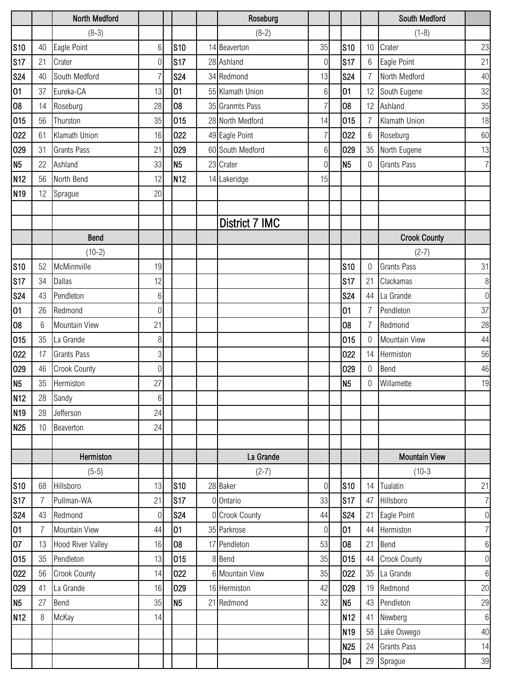|                 |    | North Medford            |                |                 | Roseburg         |                  |                 |                 | South Medford        |                  |
|-----------------|----|--------------------------|----------------|-----------------|------------------|------------------|-----------------|-----------------|----------------------|------------------|
|                 |    | $(8-3)$                  |                |                 | $(8-2)$          |                  |                 |                 | $(1-8)$              |                  |
| <b>S10</b>      | 40 | Eagle Point              | 6              | <b>S10</b>      | 14 Beaverton     | 35               | $s_{10}$        | 10              | Crater               | 23               |
| <b>S17</b>      | 21 | Crater                   | $\overline{0}$ | S17             | 28 Ashland       | 0                | <b>S17</b>      | $6\phantom{.}6$ | Eagle Point          | 21               |
| <b>S24</b>      | 40 | South Medford            | 7              | <b>S24</b>      | 34 Redmond       | 13               | <b>S24</b>      | 7               | North Medford        | 40               |
| 01              | 37 | Eureka-CA                | 13             | 01              | 55 Klamath Union | 6                | 01              | 12              | South Eugene         | 32               |
| 08              | 14 | Roseburg                 | 28             | 08              | 35 Granmts Pass  | $\overline{7}$   | 08              | 12              | Ashland              | 35               |
| 015             | 56 | Thurston                 | 35             | 015             | 28 North Medford | 14               | 015             | 7               | Klamath Union        | 18               |
| 022             | 61 | Klamath Union            | 16             | 022             | 49 Eagle Point   | 7                | 022             | $6\phantom{.}6$ | Roseburg             | 60               |
| 029             | 31 | <b>Grants Pass</b>       | 21             | 029             | 60 South Medford | 6                | 029             | 35              | North Eugene         | 13               |
| N <sub>5</sub>  | 22 | Ashland                  | 33             | N <sub>5</sub>  | 23 Crater        | 0                | N <sub>5</sub>  | 0               | <b>Grants Pass</b>   | $\overline{7}$   |
| N <sub>12</sub> | 56 | North Bend               | 12             | N <sub>12</sub> | 14 Lakeridge     | 15               |                 |                 |                      |                  |
| N <sub>19</sub> | 12 | Sprague                  | 20             |                 |                  |                  |                 |                 |                      |                  |
|                 |    |                          |                |                 |                  |                  |                 |                 |                      |                  |
|                 |    |                          |                |                 | District 7 IMC   |                  |                 |                 |                      |                  |
|                 |    | Bend                     |                |                 |                  |                  |                 |                 | <b>Crook County</b>  |                  |
|                 |    | $(10-2)$                 |                |                 |                  |                  |                 |                 | $(2-7)$              |                  |
| <b>S10</b>      | 52 | McMinnville              | 19             |                 |                  |                  | <b>S10</b>      | $\Omega$        | <b>Grants Pass</b>   | 31               |
| <b>S17</b>      | 34 | <b>Dallas</b>            | 12             |                 |                  |                  | S17             | 21              | Clackamas            | $\, 8$           |
| <b>S24</b>      | 43 | Pendleton                | 6              |                 |                  |                  | <b>S24</b>      | 44              | La Grande            | $\boldsymbol{0}$ |
| 01              | 26 | Redmond                  | 0              |                 |                  |                  | 01              | $\overline{7}$  | Pendleton            | 37               |
| 08              | 6  | Mountain View            | 21             |                 |                  |                  | 08              | 7               | Redmond              | 28               |
| 015             | 35 | La Grande                | 8              |                 |                  |                  | 015             | $\Omega$        | Mountain View        | 44               |
| 022             | 17 | <b>Grants Pass</b>       | 3              |                 |                  |                  | 022             | 14              | Hermiston            | 56               |
| 029             | 46 | <b>Crook County</b>      | $\overline{0}$ |                 |                  |                  | 029             | $\mathbf 0$     | Bend                 | 46               |
| N <sub>5</sub>  | 35 | Hermiston                | 27             |                 |                  |                  | N <sub>5</sub>  | $\Omega$        | Willamette           | 19               |
| N <sub>12</sub> | 28 | Sandy                    | $6\,$          |                 |                  |                  |                 |                 |                      |                  |
| N <sub>19</sub> | 28 | Jefferson                | 24             |                 |                  |                  |                 |                 |                      |                  |
| N <sub>25</sub> | 10 | Beaverton                | 24             |                 |                  |                  |                 |                 |                      |                  |
|                 |    |                          |                |                 |                  |                  |                 |                 |                      |                  |
|                 |    | Hermiston                |                |                 | La Grande        |                  |                 |                 | <b>Mountain View</b> |                  |
|                 |    | $(5-5)$                  |                |                 | $(2-7)$          |                  |                 |                 | $(10-3)$             |                  |
| <b>S10</b>      | 68 | Hillsboro                | 13             | <b>S10</b>      | 28 Baker         | $\mathbf 0$      | <b>S10</b>      |                 | 14 Tualatin          | 21               |
| S17             | 7  | Pullman-WA               | 21             | <b>S17</b>      | 0 Ontario        | 33               | <b>S17</b>      | 47              | Hillsboro            | $\overline{7}$   |
| <b>S24</b>      | 43 | Redmond                  | $\overline{0}$ | <b>S24</b>      | 0 Crook County   | 44               | <b>S24</b>      | 21              | Eagle Point          | $\boldsymbol{0}$ |
| 01              | 7  | Mountain View            | 44             | 01              | 35 Parkrose      | $\boldsymbol{0}$ | 01              | 44              | Hermiston            | $\overline{7}$   |
| 07              | 13 | <b>Hood River Valley</b> | 16             | 08              | 17 Pendleton     | 53               | 08              | 21              | Bend                 | $\,6\,$          |
| 015             | 35 | Pendleton                | 13             | 015             | 8 Bend           | 35               | 015             | 44              | <b>Crook County</b>  | $\boldsymbol{0}$ |
| 022             | 56 | <b>Crook County</b>      | 14             | 022             | 6 Mountain View  | 35               | 022             | 35              | La Grande            | $6\,$            |
| 029             | 41 | La Grande                | 16             | 029             | 16 Hermiston     | 42               | 029             | 19              | Redmond              | 20               |
| N <sub>5</sub>  | 27 | Bend                     | 35             | N <sub>5</sub>  | 21 Redmond       | 32               | N <sub>5</sub>  | 43              | Pendleton            | 29               |
| N <sub>12</sub> | 8  | McKay                    | 14             |                 |                  |                  | <b>N12</b>      | 41              | Newberg              | $\,6\,$          |
|                 |    |                          |                |                 |                  |                  | N <sub>19</sub> | 58              | Lake Oswego          | 40               |
|                 |    |                          |                |                 |                  |                  | N <sub>25</sub> | 24              | <b>Grants Pass</b>   | 14               |
|                 |    |                          |                |                 |                  |                  | D4              | 29              | Sprague              | $39\,$           |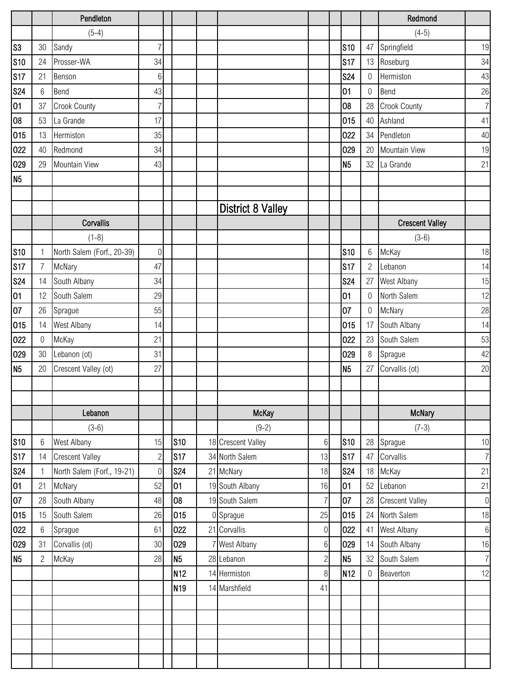|                 |                  | Pendleton                  |                  |                 |                          |                  |                 |                  | Redmond                |                  |
|-----------------|------------------|----------------------------|------------------|-----------------|--------------------------|------------------|-----------------|------------------|------------------------|------------------|
|                 |                  | $(5-4)$                    |                  |                 |                          |                  |                 |                  | $(4-5)$                |                  |
| S <sub>3</sub>  | 30               | Sandy                      | $\overline{7}$   |                 |                          |                  | <b>S10</b>      |                  | 47 Springfield         | 19               |
| <b>S10</b>      | 24               | Prosser-WA                 | 34               |                 |                          |                  | S17             |                  | 13 Roseburg            | 34               |
| S17             | 21               | Benson                     | 6                |                 |                          |                  | <b>S24</b>      | 0                | Hermiston              | 43               |
| <b>S24</b>      | 6                | Bend                       | 43               |                 |                          |                  | 01              | $\boldsymbol{0}$ | Bend                   | 26               |
| 01              | 37               | Crook County               | $\overline{7}$   |                 |                          |                  | 08              | 28               | Crook County           | $\overline{7}$   |
| 08              | 53               | La Grande                  | 17               |                 |                          |                  | 015             | 40               | Ashland                | 41               |
| 015             | 13               | Hermiston                  | 35               |                 |                          |                  | 022             | 34               | Pendleton              | 40               |
| 022             | 40               | Redmond                    | 34               |                 |                          |                  | 029             | 20               | Mountain View          | 19               |
| 029             | 29               | Mountain View              | 43               |                 |                          |                  | N <sub>5</sub>  |                  | 32 La Grande           | 21               |
| N <sub>5</sub>  |                  |                            |                  |                 |                          |                  |                 |                  |                        |                  |
|                 |                  |                            |                  |                 |                          |                  |                 |                  |                        |                  |
|                 |                  |                            |                  |                 | <b>District 8 Valley</b> |                  |                 |                  |                        |                  |
|                 |                  | Corvallis                  |                  |                 |                          |                  |                 |                  | <b>Crescent Valley</b> |                  |
|                 |                  | $(1-8)$                    |                  |                 |                          |                  |                 |                  | $(3-6)$                |                  |
| S <sub>10</sub> | $\mathbf{1}$     | North Salem (Forf., 20-39) | $\boldsymbol{0}$ |                 |                          |                  | S10             | 6                | McKay                  | 18               |
| <b>S17</b>      | $\overline{7}$   | McNary                     | 47               |                 |                          |                  | S17             | $\overline{2}$   | Lebanon                | 14               |
| <b>S24</b>      | 14               | South Albany               | 34               |                 |                          |                  | <b>S24</b>      | 27               | West Albany            | 15               |
| 01              | 12               | South Salem                | 29               |                 |                          |                  | 01              | $\mathbf 0$      | North Salem            | 12               |
| 07              | 26               | Sprague                    | 55               |                 |                          |                  | 07              | 0                | McNary                 | 28               |
| 015             | 14               | West Albany                | 14               |                 |                          |                  | 015             | 17               | South Albany           | 14               |
| 022             | $\boldsymbol{0}$ | McKay                      | 21               |                 |                          |                  | 022             | 23               | South Salem            | 53               |
| 029             | 30               | Lebanon (ot)               | 31               |                 |                          |                  | 029             | $\,8\,$          | Sprague                | 42               |
| N <sub>5</sub>  | 20               | Crescent Valley (ot)       | 27               |                 |                          |                  | N <sub>5</sub>  | 27               | Corvallis (ot)         | 20               |
|                 |                  |                            |                  |                 |                          |                  |                 |                  |                        |                  |
|                 |                  |                            |                  |                 |                          |                  |                 |                  |                        |                  |
|                 |                  | Lebanon                    |                  |                 | <b>McKay</b>             |                  |                 |                  | <b>McNary</b>          |                  |
|                 |                  | $(3-6)$                    |                  |                 | $(9-2)$                  |                  |                 |                  | $(7-3)$                |                  |
| <b>S10</b>      | 6                | <b>West Albany</b>         | 15               | <b>S10</b>      | 18 Crescent Valley       | 6                | <b>S10</b>      | 28               | Sprague                | $10$             |
| <b>S17</b>      | 14               | <b>Crescent Valley</b>     | $\overline{c}$   | S17             | 34 North Salem           | 13               | S17             | 47               | Corvallis              | $\overline{7}$   |
| <b>S24</b>      |                  | North Salem (Forf., 19-21) | $\boldsymbol{0}$ | <b>S24</b>      | 21 McNary                | 18               | <b>S24</b>      |                  | 18 McKay               | 21               |
| 01              | 21               | McNary                     | 52               | 01              | 19 South Albany          | 16               | 01              | 52               | Lebanon                | 21               |
| 07              | 28               | South Albany               | 48               | 08              | 19 South Salem           | $\overline{7}$   | 07              | 28               | <b>Crescent Valley</b> | $\,0\,$          |
| 015             | 15               | South Salem                | 26               | 015             | 0 Sprague                | 25               | 015             | 24               | North Salem            | 18               |
| 022             | 6                | Sprague                    | 61               | 022             | 21 Corvallis             | $\boldsymbol{0}$ | 022             | 41               | West Albany            | $\boldsymbol{6}$ |
| 029             | 31               | Corvallis (ot)             | 30               | 029             | 7 West Albany            | $6\phantom{.}$   | 029             | 14               | South Albany           | $16\,$           |
| N <sub>5</sub>  | $\overline{2}$   | McKay                      | 28               | N <sub>5</sub>  | 28 Lebanon               | $\overline{c}$   | N <sub>5</sub>  | 32               | South Salem            | $\overline{7}$   |
|                 |                  |                            |                  | N <sub>12</sub> | 14 Hermiston             | $\,8\,$          | N <sub>12</sub> | $\boldsymbol{0}$ | Beaverton              | 12               |
|                 |                  |                            |                  | N <sub>19</sub> | 14 Marshfield            | 41               |                 |                  |                        |                  |
|                 |                  |                            |                  |                 |                          |                  |                 |                  |                        |                  |
|                 |                  |                            |                  |                 |                          |                  |                 |                  |                        |                  |
|                 |                  |                            |                  |                 |                          |                  |                 |                  |                        |                  |
|                 |                  |                            |                  |                 |                          |                  |                 |                  |                        |                  |
|                 |                  |                            |                  |                 |                          |                  |                 |                  |                        |                  |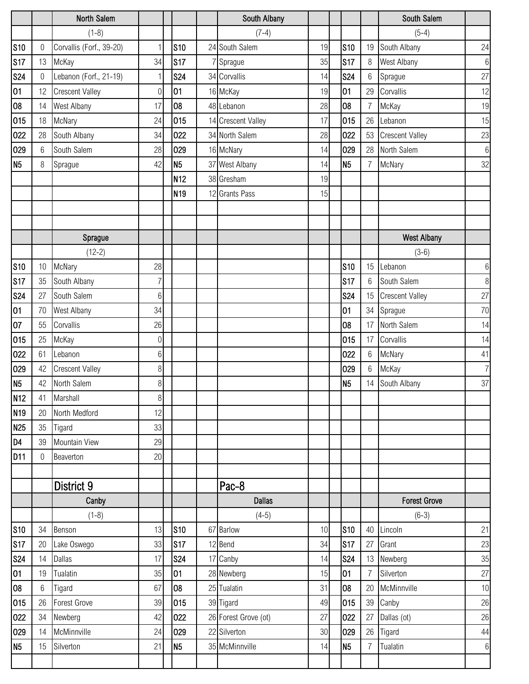|                 |                  | North Salem              |                  |                 | South Albany         |    |                |                  | South Salem            |                |
|-----------------|------------------|--------------------------|------------------|-----------------|----------------------|----|----------------|------------------|------------------------|----------------|
|                 |                  | $(1-8)$                  |                  |                 | $(7-4)$              |    |                |                  | $(5-4)$                |                |
| S <sub>10</sub> | 0                | Corvallis (Forf., 39-20) |                  | S <sub>10</sub> | 24 South Salem       | 19 | S10            | 19               | South Albany           | 24             |
| <b>S17</b>      | 13               | McKay                    | 34               | S17             | 7 Sprague            | 35 | <b>S17</b>     | 8                | West Albany            | 6              |
| <b>S24</b>      | 0                | Lebanon (Forf., 21-19)   |                  | <b>S24</b>      | 34 Corvallis         | 14 | <b>S24</b>     | 6                | Sprague                | 27             |
| 01              | 12               | <b>Crescent Valley</b>   | 0                | 01              | 16 McKay             | 19 | 01             | 29               | Corvallis              | 12             |
| 08              | 14               | West Albany              | 17               | 08              | 48 Lebanon           | 28 | 08             |                  | McKay                  | 19             |
| 015             | 18               | McNary                   | 24               | 015             | 14 Crescent Valley   | 17 | 015            | 26               | Lebanon                | 15             |
| 022             | 28               | South Albany             | 34               | 022             | 34 North Salem       | 28 | 022            | 53               | <b>Crescent Valley</b> | 23             |
| 029             | 6                | South Salem              | 28               | 029             | 16 McNary            | 14 | 029            | 28               | North Salem            | $6\,$          |
| N <sub>5</sub>  | 8                | Sprague                  | 42               | N <sub>5</sub>  | 37 West Albany       | 14 | N <sub>5</sub> | 7                | McNary                 | 32             |
|                 |                  |                          |                  | N <sub>12</sub> | 38 Gresham           | 19 |                |                  |                        |                |
|                 |                  |                          |                  | N <sub>19</sub> | 12 Grants Pass       | 15 |                |                  |                        |                |
|                 |                  |                          |                  |                 |                      |    |                |                  |                        |                |
|                 |                  |                          |                  |                 |                      |    |                |                  |                        |                |
|                 |                  | Sprague                  |                  |                 |                      |    |                |                  | <b>West Albany</b>     |                |
|                 |                  | $(12-2)$                 |                  |                 |                      |    |                |                  | $(3-6)$                |                |
| <b>S10</b>      | 10               | McNary                   | 28               |                 |                      |    | <b>S10</b>     | 15 <sup>15</sup> | Lebanon                | $6\phantom{.}$ |
| S17             | 35               | South Albany             | 7                |                 |                      |    | <b>S17</b>     | 6                | South Salem            | 8              |
| <b>S24</b>      | 27               | South Salem              | 6                |                 |                      |    | <b>S24</b>     | 15               | <b>Crescent Valley</b> | 27             |
| 01              | 70               | West Albany              | 34               |                 |                      |    | 01             | 34               | Sprague                | 70             |
| 07              | 55               | Corvallis                | 26               |                 |                      |    | 08             | 17               | North Salem            | 14             |
| 015             | 25               | McKay                    | $\boldsymbol{0}$ |                 |                      |    | 015            | 17               | Corvallis              | 14             |
| 022             | 61               | Lebanon                  | 6                |                 |                      |    | 022            | 6                | McNary                 | 41             |
| 029             | 42               | <b>Crescent Valley</b>   | 8                |                 |                      |    | 029            | 6                | McKay                  | 7              |
| N <sub>5</sub>  | 42               | North Salem              | 8                |                 |                      |    | N <sub>5</sub> | 14               | South Albany           | 37             |
| N <sub>12</sub> | 41               | Marshall                 | 8                |                 |                      |    |                |                  |                        |                |
| N <sub>19</sub> | 20               | North Medford            | 12               |                 |                      |    |                |                  |                        |                |
| N <sub>25</sub> | 35               | Tigard                   | 33               |                 |                      |    |                |                  |                        |                |
| D <sub>4</sub>  | 39               | <b>Mountain View</b>     | 29               |                 |                      |    |                |                  |                        |                |
| D <sub>11</sub> | $\boldsymbol{0}$ | Beaverton                | 20               |                 |                      |    |                |                  |                        |                |
|                 |                  |                          |                  |                 |                      |    |                |                  |                        |                |
|                 |                  | District 9               |                  |                 | Pac-8                |    |                |                  |                        |                |
|                 |                  | Canby                    |                  |                 | <b>Dallas</b>        |    |                |                  | <b>Forest Grove</b>    |                |
|                 |                  | $(1-8)$                  |                  |                 | $(4-5)$              |    |                |                  | $(6-3)$                |                |
| <b>S10</b>      | 34               | Benson                   | 13               | <b>S10</b>      | 67 Barlow            | 10 | <b>S10</b>     | 40               | Lincoln                | 21             |
| <b>S17</b>      | 20               | Lake Oswego              | 33               | <b>S17</b>      | 12 Bend              | 34 | S17            | 27               | Grant                  | 23             |
| <b>S24</b>      | 14               | Dallas                   | 17               | <b>S24</b>      | 17 Canby             | 14 | <b>S24</b>     |                  | 13 Newberg             | 35             |
| 01              | 19               | Tualatin                 | 35               | 01              | 28 Newberg           | 15 | 01             | 7                | Silverton              | 27             |
| 08              | 6                | Tigard                   | 67               | 08              | 25 Tualatin          | 31 | 08             | 20               | McMinnville            | 10             |
| 015             | 26               | <b>Forest Grove</b>      | 39               | 015             | 39 Tigard            | 49 | 015            | 39               | Canby                  | 26             |
| 022             | 34               | Newberg                  | 42               | 022             | 26 Forest Grove (ot) | 27 | 022            | 27               | Dallas (ot)            | 26             |
| 029             | 14               | McMinnville              | 24               | 029             | 22 Silverton         | 30 | 029            | 26               | Tigard                 | $44\,$         |
| N <sub>5</sub>  | 15               | Silverton                | 21               | N <sub>5</sub>  | 35 McMinnville       | 14 | N <sub>5</sub> | $\overline{7}$   | Tualatin               | 6              |
|                 |                  |                          |                  |                 |                      |    |                |                  |                        |                |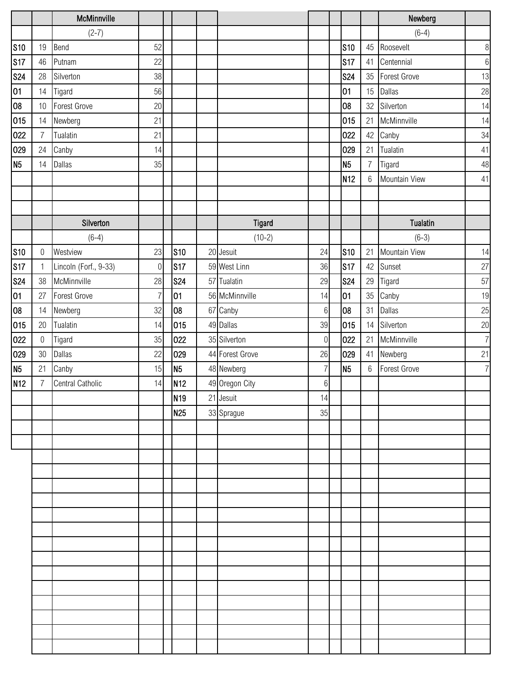|                 |                  | McMinnville           |                  |                 |                 |                  |                 |                 | Newberg             |        |
|-----------------|------------------|-----------------------|------------------|-----------------|-----------------|------------------|-----------------|-----------------|---------------------|--------|
|                 |                  | $(2-7)$               |                  |                 |                 |                  |                 |                 | $(6-4)$             |        |
| <b>S10</b>      | 19               | Bend                  | 52               |                 |                 |                  | <b>S10</b>      | 45              | Roosevelt           | 8      |
| S17             | 46               | Putnam                | 22               |                 |                 |                  | S <sub>17</sub> | 41              | Centennial          | 6      |
| <b>S24</b>      | 28               | Silverton             | 38               |                 |                 |                  | <b>S24</b>      | 35              | <b>Forest Grove</b> | 13     |
| 01              | 14               | Tigard                | 56               |                 |                 |                  | 01              | 15              | <b>Dallas</b>       | $28\,$ |
| 08              | $10\,$           | Forest Grove          | 20               |                 |                 |                  | 08              | 32              | Silverton           | 14     |
| 015             | 14               | Newberg               | 21               |                 |                 |                  | 015             | 21              | McMinnville         | 14     |
| 022             | $\overline{7}$   | Tualatin              | 21               |                 |                 |                  | 022             | 42              | Canby               | $34\,$ |
| 029             | 24               | Canby                 | 14               |                 |                 |                  | 029             | 21              | Tualatin            | 41     |
| N <sub>5</sub>  | 14               | Dallas                | 35               |                 |                 |                  | N <sub>5</sub>  | $\overline{7}$  | Tigard              | 48     |
|                 |                  |                       |                  |                 |                 |                  | N <sub>12</sub> | $6\phantom{.}6$ | Mountain View       | 41     |
|                 |                  |                       |                  |                 |                 |                  |                 |                 |                     |        |
|                 |                  |                       |                  |                 |                 |                  |                 |                 |                     |        |
|                 |                  | Silverton             |                  |                 | <b>Tigard</b>   |                  |                 |                 | <b>Tualatin</b>     |        |
|                 |                  | $(6-4)$               |                  |                 | $(10-2)$        |                  |                 |                 | $(6-3)$             |        |
| <b>S10</b>      | $\boldsymbol{0}$ | Westview              | 23               | S <sub>10</sub> | 20 Jesuit       | 24               | <b>S10</b>      | 21              | Mountain View       | 14     |
| S17             | $\mathbf{1}$     | Lincoln (Forf., 9-33) | $\boldsymbol{0}$ | <b>S17</b>      | 59 West Linn    | 36               | s <sub>17</sub> | 42              | Sunset              | $27\,$ |
| <b>S24</b>      | 38               | McMinnville           | 28               | <b>S24</b>      | 57 Tualatin     | 29               | <b>S24</b>      | 29              | Tigard              | 57     |
| 01              | 27               | Forest Grove          | 7                | 01              | 56 McMinnville  | 14               | 01              | 35              | Canby               | 19     |
| 08              | 14               | Newberg               | 32               | 08              | 67 Canby        | $6\,$            | 08              | 31              | Dallas              | $25\,$ |
| 015             | $20\,$           | Tualatin              | 14               | 015             | 49 Dallas       | 39               | 015             | 14              | Silverton           | $20\,$ |
| 022             | $\boldsymbol{0}$ | Tigard                | 35               | 022             | 35 Silverton    | $\boldsymbol{0}$ | 022             | 21              | McMinnville         | 7      |
| 029             | 30               | <b>Dallas</b>         | 22               | 029             | 44 Forest Grove | 26               | 029             | 41              | Newberg             | 21     |
| N <sub>5</sub>  | 21               | Canby                 | 15               | N <sub>5</sub>  | 48 Newberg      | $\overline{7}$   | N <sub>5</sub>  | $6\,$           | <b>Forest Grove</b> | 7      |
| N <sub>12</sub> | $\overline{7}$   | Central Catholic      | 14               | N <sub>12</sub> | 49 Oregon City  | $6 \mid$         |                 |                 |                     |        |
|                 |                  |                       |                  | N <sub>19</sub> | 21 Jesuit       | 14               |                 |                 |                     |        |
|                 |                  |                       |                  | N <sub>25</sub> | 33 Sprague      | 35               |                 |                 |                     |        |
|                 |                  |                       |                  |                 |                 |                  |                 |                 |                     |        |
|                 |                  |                       |                  |                 |                 |                  |                 |                 |                     |        |
|                 |                  |                       |                  |                 |                 |                  |                 |                 |                     |        |
|                 |                  |                       |                  |                 |                 |                  |                 |                 |                     |        |
|                 |                  |                       |                  |                 |                 |                  |                 |                 |                     |        |
|                 |                  |                       |                  |                 |                 |                  |                 |                 |                     |        |
|                 |                  |                       |                  |                 |                 |                  |                 |                 |                     |        |
|                 |                  |                       |                  |                 |                 |                  |                 |                 |                     |        |
|                 |                  |                       |                  |                 |                 |                  |                 |                 |                     |        |
|                 |                  |                       |                  |                 |                 |                  |                 |                 |                     |        |
|                 |                  |                       |                  |                 |                 |                  |                 |                 |                     |        |
|                 |                  |                       |                  |                 |                 |                  |                 |                 |                     |        |
|                 |                  |                       |                  |                 |                 |                  |                 |                 |                     |        |
|                 |                  |                       |                  |                 |                 |                  |                 |                 |                     |        |
|                 |                  |                       |                  |                 |                 |                  |                 |                 |                     |        |
|                 |                  |                       |                  |                 |                 |                  |                 |                 |                     |        |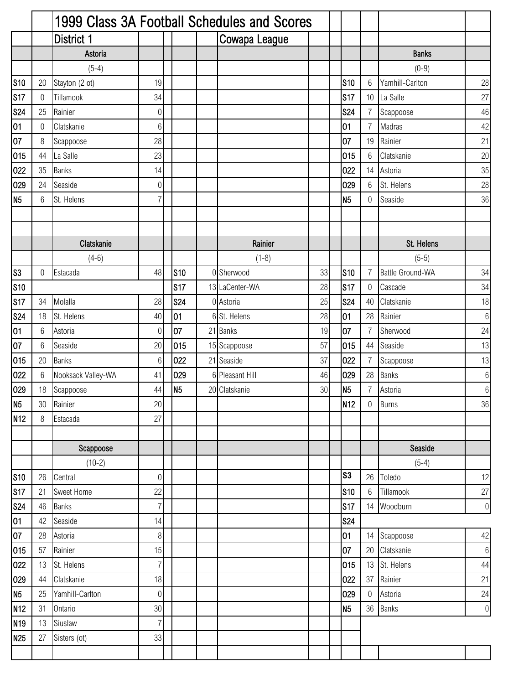|                 |    |                    |                  |                | 1999 Class 3A Football Schedules and Scores |    |                 |                |                         |                  |
|-----------------|----|--------------------|------------------|----------------|---------------------------------------------|----|-----------------|----------------|-------------------------|------------------|
|                 |    | District 1         |                  |                | Cowapa League                               |    |                 |                |                         |                  |
|                 |    | Astoria            |                  |                |                                             |    |                 |                | <b>Banks</b>            |                  |
|                 |    | $(5-4)$            |                  |                |                                             |    |                 |                | $(0-9)$                 |                  |
| <b>S10</b>      | 20 | Stayton (2 ot)     | 19               |                |                                             |    | <b>S10</b>      | 6              | Yamhill-Carlton         | 28               |
| <b>S17</b>      | 0  | Tillamook          | 34               |                |                                             |    | <b>S17</b>      | 10             | La Salle                | 27               |
| <b>S24</b>      | 25 | Rainier            | $\boldsymbol{0}$ |                |                                             |    | <b>S24</b>      | 7              | Scappoose               | 46               |
| 01              | 0  | Clatskanie         | $6\,$            |                |                                             |    | 01              | 7              | Madras                  | 42               |
| 07              | 8  | Scappoose          | 28               |                |                                             |    | 07              | 19             | Rainier                 | 21               |
| 015             | 44 | La Salle           | 23               |                |                                             |    | 015             | $6\,$          | Clatskanie              | 20               |
| 022             | 35 | <b>Banks</b>       | 14               |                |                                             |    | 022             | 14             | Astoria                 | 35               |
| 029             | 24 | Seaside            | $\boldsymbol{0}$ |                |                                             |    | 029             | 6              | St. Helens              | 28               |
| N <sub>5</sub>  | 6  | St. Helens         | $\overline{7}$   |                |                                             |    | N <sub>5</sub>  | 0              | Seaside                 | 36               |
|                 |    |                    |                  |                |                                             |    |                 |                |                         |                  |
|                 |    |                    |                  |                |                                             |    |                 |                |                         |                  |
|                 |    | Clatskanie         |                  |                | Rainier                                     |    |                 |                | St. Helens              |                  |
|                 |    | $(4-6)$            |                  |                | $(1-8)$                                     |    |                 |                | $(5-5)$                 |                  |
| S <sub>3</sub>  | 0  | Estacada           | 48               | <b>S10</b>     | 0 Sherwood                                  | 33 | <b>S10</b>      | 7              | <b>Battle Ground-WA</b> | 34               |
| <b>S10</b>      |    |                    |                  | <b>S17</b>     | 13 LaCenter-WA                              | 28 | S17             | 0              | Cascade                 | 34               |
| <b>S17</b>      | 34 | Molalla            | 28               | <b>S24</b>     | 0 Astoria                                   | 25 | <b>S24</b>      | 40             | Clatskanie              | 18               |
| <b>S24</b>      | 18 | St. Helens         | 40               | 01             | 6 St. Helens                                | 28 | 01              | 28             | Rainier                 | $6\,$            |
| 01              | 6  | Astoria            | $\mathbf 0$      | 07             | 21 Banks                                    | 19 | 07              | 7              | Sherwood                | 24               |
| 07              | 6  | Seaside            | 20               | 015            | 15 Scappoose                                | 57 | 015             | 44             | Seaside                 | 13               |
| 015             | 20 | <b>Banks</b>       | $6\,$            | 022            | 21 Seaside                                  | 37 | 022             | 7              | Scappoose               | 13               |
| 022             | 6  | Nooksack Valley-WA | 41               | 029            | 6 Pleasant Hill                             | 46 | 029             | 28             | <b>Banks</b>            | $6\,$            |
| 029             | 18 | Scappoose          | 44               | N <sub>5</sub> | 20 Clatskanie                               | 30 | N <sub>5</sub>  | $\overline{7}$ | Astoria                 | $6 \overline{6}$ |
| N <sub>5</sub>  | 30 | Rainier            | 20               |                |                                             |    | N <sub>12</sub> | 0              | <b>Burns</b>            | 36               |
| N <sub>12</sub> | 8  | Estacada           | 27               |                |                                             |    |                 |                |                         |                  |
|                 |    |                    |                  |                |                                             |    |                 |                |                         |                  |
|                 |    | Scappoose          |                  |                |                                             |    |                 |                | Seaside                 |                  |
|                 |    | $(10-2)$           |                  |                |                                             |    |                 |                | $(5-4)$                 |                  |
| <b>S10</b>      | 26 | Central            | $\boldsymbol{0}$ |                |                                             |    | S <sub>3</sub>  | 26             | Toledo                  | 12               |
| <b>S17</b>      | 21 | Sweet Home         | 22               |                |                                             |    | $s_{10}$        | 6              | Tillamook               | 27               |
| <b>S24</b>      | 46 | <b>Banks</b>       | $\overline{7}$   |                |                                             |    | <b>S17</b>      |                | 14 Woodburn             | $\overline{0}$   |
| 01              | 42 | Seaside            | 14               |                |                                             |    | <b>S24</b>      |                |                         |                  |
| 07              | 28 | Astoria            | $\, 8$           |                |                                             |    | 01              | 14             | Scappoose               | 42               |
| 015             | 57 | Rainier            | 15               |                |                                             |    | 07              | 20             | Clatskanie              | $6\,$            |
| 022             | 13 | St. Helens         | $\overline{7}$   |                |                                             |    | 015             | 13             | St. Helens              | $44\,$           |
| 029             | 44 | Clatskanie         | 18               |                |                                             |    | 022             | 37             | Rainier                 | 21               |
| N <sub>5</sub>  | 25 | Yamhill-Carlton    | $\boldsymbol{0}$ |                |                                             |    | 029             | 0              | Astoria                 | 24               |
| <b>N12</b>      | 31 | Ontario            | 30               |                |                                             |    | <b>N5</b>       | 36             | <b>Banks</b>            | $\overline{0}$   |
| N <sub>19</sub> | 13 | Siuslaw            | $\overline{7}$   |                |                                             |    |                 |                |                         |                  |
| N <sub>25</sub> | 27 | Sisters (ot)       | 33               |                |                                             |    |                 |                |                         |                  |
|                 |    |                    |                  |                |                                             |    |                 |                |                         |                  |
|                 |    |                    |                  |                |                                             |    |                 |                |                         |                  |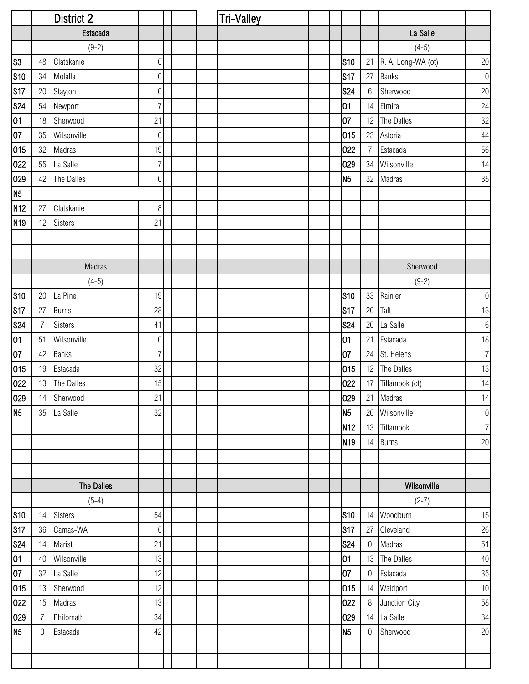|                 |                | <b>District 2</b> |                  |  | <b>Tri-Valley</b> |                 |                  |                    |                  |
|-----------------|----------------|-------------------|------------------|--|-------------------|-----------------|------------------|--------------------|------------------|
|                 |                | Estacada          |                  |  |                   |                 |                  | La Salle           |                  |
|                 |                | $(9-2)$           |                  |  |                   |                 |                  | $(4-5)$            |                  |
| S <sub>3</sub>  | 48             | Clatskanie        | $\boldsymbol{0}$ |  |                   | <b>S10</b>      | 21               | R. A. Long-WA (ot) | $20\,$           |
| <b>S10</b>      | 34             | Molalla           | $\boldsymbol{0}$ |  |                   | <b>S17</b>      | 27               | <b>Banks</b>       | $\,0\,$          |
| <b>S17</b>      | 20             | Stayton           | $\overline{0}$   |  |                   | <b>S24</b>      | $6\phantom{.}6$  | Sherwood           | 20               |
| <b>S24</b>      | 54             | Newport           | $\overline{7}$   |  |                   | 01              | 14               | Elmira             | 24               |
| 01              | 18             | Sherwood          | 21               |  |                   | 07              | 12               | The Dalles         | 32               |
| 07              | 35             | Wilsonville       | 0                |  |                   | 015             | 23               | Astoria            | 44               |
| 015             | 32             | Madras            | 19               |  |                   | 022             | 7                | Estacada           | 56               |
| 022             | 55             | La Salle          | $\overline{7}$   |  |                   | 029             | 34               | Wilsonville        | 14               |
| 029             | 42             | The Dalles        | $\boldsymbol{0}$ |  |                   | N <sub>5</sub>  | 32               | Madras             | 35               |
| N <sub>5</sub>  |                |                   |                  |  |                   |                 |                  |                    |                  |
| N <sub>12</sub> | 27             | Clatskanie        | 8                |  |                   |                 |                  |                    |                  |
| N <sub>19</sub> | 12             | <b>Sisters</b>    | 21               |  |                   |                 |                  |                    |                  |
|                 |                |                   |                  |  |                   |                 |                  |                    |                  |
|                 |                |                   |                  |  |                   |                 |                  |                    |                  |
|                 |                | Madras            |                  |  |                   |                 |                  | Sherwood           |                  |
|                 |                | $(4-5)$           |                  |  |                   |                 |                  | $(9-2)$            |                  |
| <b>S10</b>      | 20             | La Pine           | 19               |  |                   | <b>S10</b>      | 33               | Rainier            | $\boldsymbol{0}$ |
| <b>S17</b>      | 27             | <b>Burns</b>      | 28               |  |                   | <b>S17</b>      | 20               | Taft               | 13               |
| <b>S24</b>      | 7              | <b>Sisters</b>    | 41               |  |                   | <b>S24</b>      | 20               | La Salle           | $\,6\,$          |
| 01              | 51             | Wilsonville       | $\overline{0}$   |  |                   | 01              | 21               | Estacada           | 18               |
| 07              | 42             | <b>Banks</b>      | $\overline{7}$   |  |                   | 07              |                  | 24 St. Helens      | $\overline{7}$   |
| 015             | 19             | Estacada          | 32               |  |                   | 015             |                  | 12 The Dalles      | 13               |
| 022             | 13             | The Dalles        | 15               |  |                   | 022             |                  | 17 Tillamook (ot)  | 14               |
| 029             |                | 14 Sherwood       | 21               |  |                   | 029             |                  | 21 Madras          | 14               |
| N <sub>5</sub>  | 35             | La Salle          | 32               |  |                   | N <sub>5</sub>  |                  | 20 Wilsonville     | $\boldsymbol{0}$ |
|                 |                |                   |                  |  |                   | N <sub>12</sub> |                  | 13 Tillamook       | $\overline{7}$   |
|                 |                |                   |                  |  |                   | N <sub>19</sub> |                  | 14 Burns           | 20               |
|                 |                |                   |                  |  |                   |                 |                  |                    |                  |
|                 |                |                   |                  |  |                   |                 |                  |                    |                  |
|                 |                | The Dalles        |                  |  |                   |                 |                  | Wilsonville        |                  |
|                 |                | $(5-4)$           |                  |  |                   |                 |                  | $(2-7)$            |                  |
| <b>S10</b>      | 14             | Sisters           | 54               |  |                   | <b>S10</b>      |                  | 14 Woodburn        | 15               |
| <b>S17</b>      | 36             | Camas-WA          | $6\,$            |  |                   | S17             | 27               | Cleveland          | 26               |
| <b>S24</b>      | 14             | Marist            | 21               |  |                   | <b>S24</b>      | $\boldsymbol{0}$ | Madras             | 51               |
| 01              | 40             | Wilsonville       | 13               |  |                   | 01              |                  | 13 The Dalles      | 40               |
| 07              | 32             | La Salle          | 12               |  |                   | 07              | 0                | Estacada           | 35               |
| 015             | 13             | Sherwood          | 12               |  |                   | 015             |                  | 14 Waldport        | 10               |
| 022             | 15             | Madras            | 13               |  |                   | 022             | 8                | Junction City      | 58               |
| 029             | $\overline{7}$ | Philomath         | 34               |  |                   | 029             |                  | 14 La Salle        | 34               |
| N <sub>5</sub>  | $\overline{0}$ | Estacada          | 42               |  |                   | N <sub>5</sub>  | $\mathbf 0$      | Sherwood           | $20\,$           |
|                 |                |                   |                  |  |                   |                 |                  |                    |                  |
|                 |                |                   |                  |  |                   |                 |                  |                    |                  |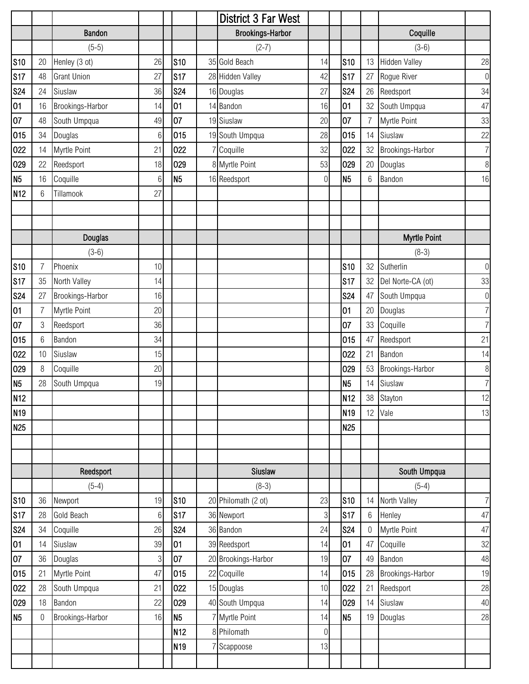|                 |                |                    |    |                 | <b>District 3 Far West</b> |                |                 |                |                      |                |
|-----------------|----------------|--------------------|----|-----------------|----------------------------|----------------|-----------------|----------------|----------------------|----------------|
|                 |                | <b>Bandon</b>      |    |                 | <b>Brookings-Harbor</b>    |                |                 |                | Coquille             |                |
|                 |                | $(5-5)$            |    |                 | $(2-7)$                    |                |                 |                | $(3-6)$              |                |
| <b>S10</b>      | 20             | Henley (3 ot)      | 26 | <b>S10</b>      | 35 Gold Beach              | 14             | <b>S10</b>      | 13             | <b>Hidden Valley</b> | 28             |
| <b>S17</b>      | 48             | <b>Grant Union</b> | 27 | <b>S17</b>      | 28 Hidden Valley           | 42             | <b>S17</b>      | 27             | Rogue River          | $\overline{0}$ |
| <b>S24</b>      | 24             | Siuslaw            | 36 | <b>S24</b>      | 16 Douglas                 | 27             | <b>S24</b>      | 26             | Reedsport            | 34             |
| 01              | 16             | Brookings-Harbor   | 14 | 01              | 14 Bandon                  | 16             | 01              | 32             | South Umpqua         | 47             |
| 07              | 48             | South Umpqua       | 49 | 07              | 19 Siuslaw                 | 20             | 107             | $\overline{7}$ | Myrtle Point         | 33             |
| 015             | 34             | Douglas            | 6  | 015             | 19 South Umpqua            | 28             | 015             | 14             | Siuslaw              | 22             |
| 022             | 14             | Myrtle Point       | 21 | 022             | 7 Coquille                 | 32             | 022             | 32             | Brookings-Harbor     | 7 <sup>1</sup> |
| 029             | 22             | Reedsport          | 18 | 029             | 8 Myrtle Point             | 53             | 029             | 20             | Douglas              | 8 <sup>1</sup> |
| N <sub>5</sub>  | 16             | Coquille           | 6  | N <sub>5</sub>  | 16 Reedsport               | 0              | N <sub>5</sub>  | 6              | Bandon               | 16             |
| <b>N12</b>      | 6              | Tillamook          | 27 |                 |                            |                |                 |                |                      |                |
|                 |                |                    |    |                 |                            |                |                 |                |                      |                |
|                 |                |                    |    |                 |                            |                |                 |                |                      |                |
|                 |                | <b>Douglas</b>     |    |                 |                            |                |                 |                | <b>Myrtle Point</b>  |                |
|                 |                | $(3-6)$            |    |                 |                            |                |                 |                | $(8-3)$              |                |
| <b>S10</b>      | $\overline{7}$ | Phoenix            | 10 |                 |                            |                | <b>S10</b>      | 32             | Sutherlin            | $\overline{0}$ |
| <b>S17</b>      | 35             | North Valley       | 14 |                 |                            |                | <b>S17</b>      | 32             | Del Norte-CA (ot)    | 33             |
| <b>S24</b>      | 27             | Brookings-Harbor   | 16 |                 |                            |                | <b>S24</b>      | 47             | South Umpqua         | $\overline{0}$ |
| 01              | $\overline{7}$ | Myrtle Point       | 20 |                 |                            |                | 01              | 20             | Douglas              | 7 <sup>1</sup> |
| 07              | 3              | Reedsport          | 36 |                 |                            |                | 07              | 33             | Coquille             | 7 <sup>1</sup> |
| 015             | 6              | Bandon             | 34 |                 |                            |                | 015             | 47             | Reedsport            | 21             |
| 022             | 10             | Siuslaw            | 15 |                 |                            |                | 022             | 21             | Bandon               | 14             |
| 029             | 8              | Coquille           | 20 |                 |                            |                | 029             | 53             | Brookings-Harbor     | $\,8\,$        |
| N <sub>5</sub>  | 28             | South Umpqua       | 19 |                 |                            |                | N <sub>5</sub>  | 14             | Siuslaw              | 7              |
| N <sub>12</sub> |                |                    |    |                 |                            |                | N <sub>12</sub> | 38             | Stayton              | 12             |
| N <sub>19</sub> |                |                    |    |                 |                            |                | N <sub>19</sub> | 12             | Vale                 | 13             |
| N <sub>25</sub> |                |                    |    |                 |                            |                | N <sub>25</sub> |                |                      |                |
|                 |                |                    |    |                 |                            |                |                 |                |                      |                |
|                 |                |                    |    |                 |                            |                |                 |                |                      |                |
|                 |                | Reedsport          |    |                 | Siuslaw                    |                |                 |                | South Umpqua         |                |
|                 |                | $(5-4)$            |    |                 | $(8-3)$                    |                |                 |                | $(5-4)$              |                |
| <b>S10</b>      | 36             | Newport            | 19 | <b>S10</b>      | 20 Philomath (2 ot)        | 23             | <b>S10</b>      | 14             | North Valley         | 7 <sup>1</sup> |
| <b>S17</b>      | 28             | Gold Beach         | 6  | <b>S17</b>      | 36 Newport                 | $\mathfrak{Z}$ | <b>S17</b>      | 6              | Henley               | 47             |
| <b>S24</b>      | 34             | Coquille           | 26 | <b>S24</b>      | 36 Bandon                  | 24             | <b>S24</b>      | $\theta$       | Myrtle Point         | 47             |
| 01              | 14             | Siuslaw            | 39 | 01              | 39 Reedsport               | 14             | 01              | 47             | Coquille             | 32             |
| 07              | 36             | Douglas            | 3  | 07              | 20 Brookings-Harbor        | 19             | 07              | 49             | Bandon               | 48             |
| 015             | 21             | Myrtle Point       | 47 | 015             | 22 Coquille                | 14             | 015             | 28             | Brookings-Harbor     | 19             |
| 022             | 28             | South Umpqua       | 21 | 022             | 15 Douglas                 | 10             | 022             | 21             | Reedsport            | 28             |
| 029             | 18             | Bandon             | 22 | 029             | 40 South Umpqua            | 14             | 029             | 14             | Siuslaw              | 40             |
| N <sub>5</sub>  | 0              | Brookings-Harbor   | 16 | N <sub>5</sub>  | 7 Myrtle Point             | 14             | N <sub>5</sub>  | 19             | Douglas              | 28             |
|                 |                |                    |    | <b>N12</b>      | 8 Philomath                | $\overline{0}$ |                 |                |                      |                |
|                 |                |                    |    | N <sub>19</sub> | 7 Scappoose                | 13             |                 |                |                      |                |
|                 |                |                    |    |                 |                            |                |                 |                |                      |                |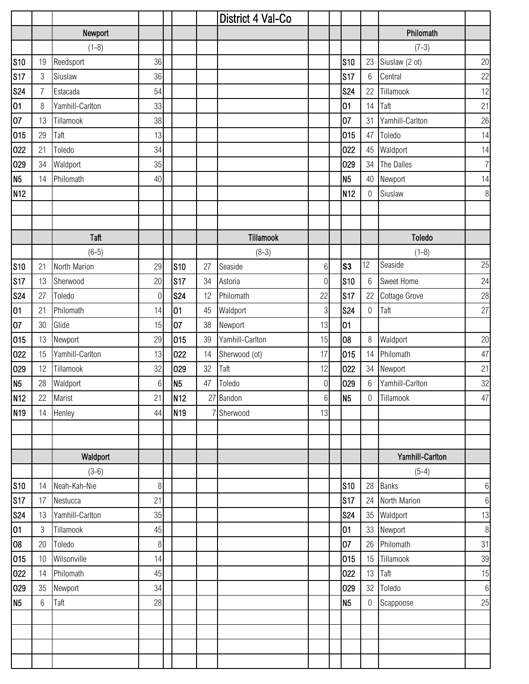|                 |                |                 |                |                 |    | District 4 Val-Co |                  |                 |                 |                 |                  |
|-----------------|----------------|-----------------|----------------|-----------------|----|-------------------|------------------|-----------------|-----------------|-----------------|------------------|
|                 |                | Newport         |                |                 |    |                   |                  |                 |                 | Philomath       |                  |
|                 |                | $(1-8)$         |                |                 |    |                   |                  |                 |                 | $(7-3)$         |                  |
| <b>S10</b>      | 19             | Reedsport       | 36             |                 |    |                   |                  | <b>S10</b>      | 23              | Siuslaw (2 ot)  | 20               |
| <b>S17</b>      | 3              | Siuslaw         | 36             |                 |    |                   |                  | S <sub>17</sub> | $6\phantom{.}6$ | Central         | 22               |
| <b>S24</b>      | $\overline{7}$ | Estacada        | 54             |                 |    |                   |                  | <b>S24</b>      | 22              | Tillamook       | 12               |
| 01              | 8              | Yamhill-Carlton | 33             |                 |    |                   |                  | 01              | 14              | Taft            | 21               |
| 07              | 13             | Tillamook       | 38             |                 |    |                   |                  | 07              | 31              | Yamhill-Carlton | 26               |
| 015             | 29             | Taft            | 13             |                 |    |                   |                  | 015             | 47              | Toledo          | 14               |
| 022             | 21             | Toledo          | 34             |                 |    |                   |                  | 022             | 45              | Waldport        | 14               |
| 029             | 34             | Waldport        | 35             |                 |    |                   |                  | 029             | 34              | The Dalles      | $\overline{7}$   |
| N <sub>5</sub>  | 14             | Philomath       | 40             |                 |    |                   |                  | N <sub>5</sub>  | $40\,$          | Newport         | 14               |
| N <sub>12</sub> |                |                 |                |                 |    |                   |                  | N <sub>12</sub> | $\overline{0}$  | Siuslaw         | $\, 8$           |
|                 |                |                 |                |                 |    |                   |                  |                 |                 |                 |                  |
|                 |                |                 |                |                 |    |                   |                  |                 |                 |                 |                  |
|                 |                | Taft            |                |                 |    | Tillamook         |                  |                 |                 | Toledo          |                  |
|                 |                | $(6-5)$         |                |                 |    | $(8-3)$           |                  |                 |                 | $(1-8)$         |                  |
| <b>S10</b>      | 21             | North Marion    | 29             | <b>S10</b>      | 27 | Seaside           | 6                | S <sub>3</sub>  | 12              | Seaside         | 25               |
| <b>S17</b>      | 13             | Sherwood        | 20             | <b>S17</b>      | 34 | Astoria           | $\boldsymbol{0}$ | <b>S10</b>      | $6\phantom{.}6$ | Sweet Home      | 24               |
| <b>S24</b>      | 27             | Toledo          | $\overline{0}$ | <b>S24</b>      | 12 | Philomath         | 22               | <b>S17</b>      | 22              | Cottage Grove   | 28               |
| 01              | 21             | Philomath       | 14             | 01              | 45 | Waldport          | $\sqrt{3}$       | <b>S24</b>      | $\mathbf 0$     | Taft            | 27               |
| 07              | $30\,$         | Glide           | 15             | 07              | 38 | Newport           | 13               | 01              |                 |                 |                  |
| 015             | 13             | Newport         | 29             | 015             | 39 | Yamhill-Carlton   | 15               | 08              | 8               | Waldport        | 20               |
| 022             | 15             | Yamhill-Carlton | 13             | 022             | 14 | Sherwood (ot)     | 17               | 015             | 14              | Philomath       | 47               |
| 029             | 12             | Tillamook       | 32             | 029             | 32 | Taft              | 12               | 022             | 34              | Newport         | 21               |
| N <sub>5</sub>  | 28             | Waldport        | 6              | N <sub>5</sub>  | 47 | Toledo            | 0                | 029             | 6               | Yamhill-Carlton | 32               |
| N <sub>12</sub> | 22             | Marist          | 21             | N <sub>12</sub> |    | 27 Bandon         | $6 \mid$         | N <sub>5</sub>  |                 | 0 Tillamook     | $47\,$           |
| N <sub>19</sub> | 14             | Henley          | 44             | N <sub>19</sub> |    | Sherwood          | 13               |                 |                 |                 |                  |
|                 |                |                 |                |                 |    |                   |                  |                 |                 |                 |                  |
|                 |                |                 |                |                 |    |                   |                  |                 |                 |                 |                  |
|                 |                | Waldport        |                |                 |    |                   |                  |                 |                 | Yamhill-Carlton |                  |
|                 |                | $(3-6)$         |                |                 |    |                   |                  |                 |                 | $(5-4)$         |                  |
| <b>S10</b>      | 14             | Neah-Kah-Nie    | 8              |                 |    |                   |                  | <b>S10</b>      | 28              | <b>Banks</b>    | $\,6\,$          |
| <b>S17</b>      | 17             | Nestucca        | 21             |                 |    |                   |                  | <b>S17</b>      | 24              | North Marion    | $6\,$            |
| <b>S24</b>      | 13             | Yamhill-Carlton | 35             |                 |    |                   |                  | <b>S24</b>      | 35              | Waldport        | 13               |
| 01              | $\mathfrak{S}$ | Tillamook       | 45             |                 |    |                   |                  | 01              |                 | 33 Newport      | $\, 8$           |
| 08              | 20             | Toledo          | $\,8\,$        |                 |    |                   |                  | 07              | 26              | Philomath       | 31               |
| 015             | 10             | Wilsonville     | 14             |                 |    |                   |                  | 015             |                 | 15 Tillamook    | 39               |
| 022             | 14             | Philomath       | 45             |                 |    |                   |                  | 022             | 13              | Taft            | 15               |
| 029             | 35             | Newport         | 34             |                 |    |                   |                  | 029             | 32              | Toledo          | $\boldsymbol{6}$ |
| N <sub>5</sub>  | 6              | Taft            | 28             |                 |    |                   |                  | N <sub>5</sub>  | 0               | Scappoose       | 25               |
|                 |                |                 |                |                 |    |                   |                  |                 |                 |                 |                  |
|                 |                |                 |                |                 |    |                   |                  |                 |                 |                 |                  |
|                 |                |                 |                |                 |    |                   |                  |                 |                 |                 |                  |
|                 |                |                 |                |                 |    |                   |                  |                 |                 |                 |                  |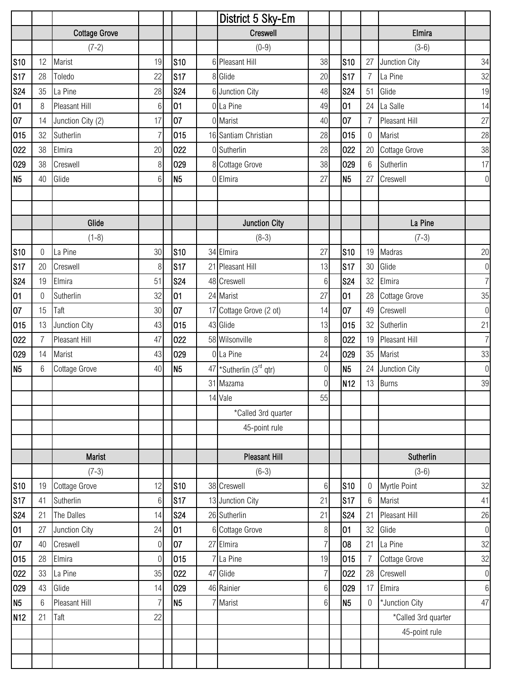|                 |                |                      |                  |                | District 5 Sky-Em       |                |                 |                  |                      |                |
|-----------------|----------------|----------------------|------------------|----------------|-------------------------|----------------|-----------------|------------------|----------------------|----------------|
|                 |                | <b>Cottage Grove</b> |                  |                | Creswell                |                |                 |                  | Elmira               |                |
|                 |                | $(7-2)$              |                  |                | $(0-9)$                 |                |                 |                  | $(3-6)$              |                |
| <b>S10</b>      | 12             | Marist               | 19               | <b>S10</b>     | 6 Pleasant Hill         | 38             | <b>S10</b>      | 27               | Junction City        | 34             |
| <b>S17</b>      | 28             | Toledo               | 22               | <b>S17</b>     | 8 Glide                 | 20             | s <sub>17</sub> | $\overline{7}$   | La Pine              | 32             |
| <b>S24</b>      | 35             | La Pine              | 28               | <b>S24</b>     | 6 Junction City         | 48             | <b>S24</b>      | 51               | Glide                | 19             |
| 01              | 8              | Pleasant Hill        | 6                | 01             | 0 La Pine               | 49             | 01              | 24               | La Salle             | 14             |
| 07              | 14             | Junction City (2)    | 17               | 07             | 0 Marist                | 40             | 107             | $\overline{7}$   | Pleasant Hill        | 27             |
| 015             | 32             | Sutherlin            | $\overline{7}$   | 015            | 16 Santiam Christian    | 28             | 015             | $\boldsymbol{0}$ | Marist               | 28             |
| 022             | 38             | Elmira               | 20               | 022            | 0 Sutherlin             | 28             | 022             | 20               | <b>Cottage Grove</b> | 38             |
| 029             | 38             | Creswell             | 8                | 029            | 8 Cottage Grove         | 38             | 029             | 6                | Sutherlin            | 17             |
| N <sub>5</sub>  | 40             | Glide                | $6\phantom{.}$   | N <sub>5</sub> | 0 Elmira                | 27             | N5              | 27               | Creswell             | $\overline{0}$ |
|                 |                |                      |                  |                |                         |                |                 |                  |                      |                |
|                 |                |                      |                  |                |                         |                |                 |                  |                      |                |
|                 |                | Glide                |                  |                | <b>Junction City</b>    |                |                 |                  | La Pine              |                |
|                 |                | $(1-8)$              |                  |                | $(8-3)$                 |                |                 |                  | $(7-3)$              |                |
| <b>S10</b>      | 0              | La Pine              | 30               | <b>S10</b>     | 34 Elmira               | 27             | <b>S10</b>      | 19               | Madras               | 20             |
| <b>S17</b>      | 20             | Creswell             | 8                | <b>S17</b>     | 21 Pleasant Hill        | 13             | <b>S17</b>      | 30               | Glide                | $\overline{0}$ |
| <b>S24</b>      | 19             | Elmira               | 51               | <b>S24</b>     | 48 Creswell             | 6              | <b>S24</b>      | 32               | Elmira               | 7 <sup>1</sup> |
| 01              | 0              | Sutherlin            | 32               | 01             | 24 Marist               | 27             | 01              | 28               | Cottage Grove        | 35             |
| 07              | 15             | Taft                 | 30               | 07             | 17 Cottage Grove (2 ot) | 14             | 07              | 49               | Creswell             | $\overline{0}$ |
| 015             | 13             | Junction City        | 43               | 015            | 43 Glide                | 13             | 015             | 32               | Sutherlin            | 21             |
| 022             | $\overline{7}$ | Pleasant Hill        | 47               | 022            | 58 Wilsonville          | 8              | 022             |                  | 19 Pleasant Hill     | 7 <sup>1</sup> |
| 029             | 14             | Marist               | 43               | 029            | 0 La Pine               | 24             | 029             | 35               | Marist               | 33             |
| N <sub>5</sub>  | 6              | Cottage Grove        | 40               | N <sub>5</sub> | 47 *Sutherlin (3rd qtr) | 0              | N <sub>5</sub>  | 24               | Junction City        | $\overline{0}$ |
|                 |                |                      |                  |                | 31 Mazama               | $\overline{0}$ | N <sub>12</sub> | 13               | <b>Burns</b>         | 39             |
|                 |                |                      |                  |                | 14 Vale                 | 55             |                 |                  |                      |                |
|                 |                |                      |                  |                | *Called 3rd quarter     |                |                 |                  |                      |                |
|                 |                |                      |                  |                | 45-point rule           |                |                 |                  |                      |                |
|                 |                |                      |                  |                |                         |                |                 |                  |                      |                |
|                 |                | Marist               |                  |                | <b>Pleasant Hill</b>    |                |                 |                  | Sutherlin            |                |
|                 |                | $(7-3)$              |                  |                | $(6-3)$                 |                |                 |                  | $(3-6)$              |                |
| <b>S10</b>      | 19             | Cottage Grove        | 12               | <b>S10</b>     | 38 Creswell             | 6              | <b>S10</b>      | 0                | Myrtle Point         | 32             |
| <b>S17</b>      | 41             | Sutherlin            | 6                | <b>S17</b>     | 13 Junction City        | 21             | <b>S17</b>      | 6                | Marist               | 41             |
| <b>S24</b>      | 21             | The Dalles           | 14               | <b>S24</b>     | 26 Sutherlin            | 21             | <b>S24</b>      | 21               | Pleasant Hill        | 26             |
| 01              | 27             | Junction City        | 24               | 01             | 6 Cottage Grove         | 8              | 01              | 32               | Glide                | $\overline{0}$ |
| 07              | 40             | Creswell             | $\overline{0}$   | 07             | 27 Elmira               | $\overline{7}$ | 08              | 21               | La Pine              | 32             |
| 015             | 28             | Elmira               | $\boldsymbol{0}$ | 015            | 7 La Pine               | 19             | 015             | $\overline{7}$   | Cottage Grove        | 32             |
| 022             | 33             | La Pine              | 35               | 022            | 47 Glide                | $\overline{7}$ | 022             | 28               | Creswell             | $\overline{0}$ |
| 029             | 43             | Glide                | 14               | 029            | 46 Rainier              | $6\,$          | 029             | 17               | Elmira               | 6              |
| N <sub>5</sub>  | 6              | Pleasant Hill        | 7                | N <sub>5</sub> | Marist                  | 6              | N <sub>5</sub>  | 0                | *Junction City       | 47             |
| N <sub>12</sub> | 21             | Taft                 | 22               |                |                         |                |                 |                  | *Called 3rd quarter  |                |
|                 |                |                      |                  |                |                         |                |                 |                  | 45-point rule        |                |
|                 |                |                      |                  |                |                         |                |                 |                  |                      |                |
|                 |                |                      |                  |                |                         |                |                 |                  |                      |                |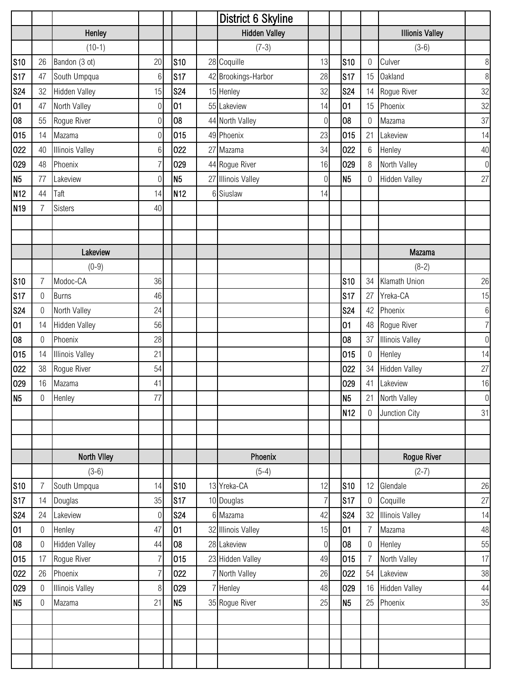|                 |                  |                        |                |                 | District 6 Skyline   |                  |                 |                  |                        |                |
|-----------------|------------------|------------------------|----------------|-----------------|----------------------|------------------|-----------------|------------------|------------------------|----------------|
|                 |                  | Henley                 |                |                 | <b>Hidden Valley</b> |                  |                 |                  | <b>Illionis Valley</b> |                |
|                 |                  | $(10-1)$               |                |                 | $(7-3)$              |                  |                 |                  | $(3-6)$                |                |
| <b>S10</b>      | 26               | Bandon (3 ot)          | 20             | <b>S10</b>      | 28 Coquille          | 13               | S <sub>10</sub> | 0                | Culver                 | $\,8\,$        |
| <b>S17</b>      | 47               | South Umpqua           | 6              | <b>S17</b>      | 42 Brookings-Harbor  | 28               | <b>S17</b>      | 15               | Oakland                | $\,8\,$        |
| <b>S24</b>      | 32               | <b>Hidden Valley</b>   | 15             | <b>S24</b>      | 15 Henley            | 32               | <b>S24</b>      | 14               | Rogue River            | 32             |
| 01              | 47               | North Valley           | 0              | 01              | 55 Lakeview          | 14               | 01              | 15               | Phoenix                | 32             |
| 08              | 55               | Rogue River            | 0              | 08              | 44 North Valley      | $\Omega$         | 08              | 0                | Mazama                 | 37             |
| 015             | 14               | Mazama                 | 0              | 015             | 49 Phoenix           | 23               | 015             | 21               | Lakeview               | 14             |
| 022             | 40               | <b>Illinois Valley</b> | 6              | 022             | 27 Mazama            | 34               | 022             | 6                | Henley                 | 40             |
| 029             | 48               | Phoenix                | 7              | 029             | 44 Rogue River       | 16               | 029             | 8                | North Valley           | $\overline{0}$ |
| N <sub>5</sub>  | 77               | Lakeview               | 0              | N <sub>5</sub>  | 27 Illinois Valley   | 0                | N <sub>5</sub>  | $\boldsymbol{0}$ | <b>Hidden Valley</b>   | 27             |
| N <sub>12</sub> | 44               | Taft                   | 14             | N <sub>12</sub> | 6 Siuslaw            | 14               |                 |                  |                        |                |
| N <sub>19</sub> | $\overline{7}$   | <b>Sisters</b>         | 40             |                 |                      |                  |                 |                  |                        |                |
|                 |                  |                        |                |                 |                      |                  |                 |                  |                        |                |
|                 |                  |                        |                |                 |                      |                  |                 |                  |                        |                |
|                 |                  | Lakeview               |                |                 |                      |                  |                 |                  | <b>Mazama</b>          |                |
|                 |                  | $(0-9)$                |                |                 |                      |                  |                 |                  | $(8-2)$                |                |
| <b>S10</b>      | 7                | Modoc-CA               | 36             |                 |                      |                  | <b>S10</b>      | 34               | Klamath Union          | 26             |
| <b>S17</b>      | $\mathbf 0$      | <b>Burns</b>           | 46             |                 |                      |                  | <b>S17</b>      | 27               | Yreka-CA               | 15             |
| <b>S24</b>      | $\mathbf 0$      | North Valley           | 24             |                 |                      |                  | <b>S24</b>      | 42               | Phoenix                | $\,6$          |
| 01              | 14               | <b>Hidden Valley</b>   | 56             |                 |                      |                  | 01              | 48               | Rogue River            | 7              |
| 08              | 0                | Phoenix                | 28             |                 |                      |                  | 08              | 37               | <b>Illinois Valley</b> | $\overline{0}$ |
| 015             | 14               | <b>Illinois Valley</b> | 21             |                 |                      |                  | 015             | 0                | Henley                 | 14             |
| 022             | 38               | Rogue River            | 54             |                 |                      |                  | 022             | 34               | <b>Hidden Valley</b>   | 27             |
| 029             | 16               | Mazama                 | 41             |                 |                      |                  | 029             | 41               | Lakeview               | 16             |
| N <sub>5</sub>  | $0\,$            | Henley                 | 77             |                 |                      |                  | N <sub>5</sub>  |                  | 21 North Valley        | $\overline{0}$ |
|                 |                  |                        |                |                 |                      |                  | N <sub>12</sub> | $\overline{0}$   | Junction City          | 31             |
|                 |                  |                        |                |                 |                      |                  |                 |                  |                        |                |
|                 |                  |                        |                |                 |                      |                  |                 |                  |                        |                |
|                 |                  | North Viley            |                |                 | Phoenix              |                  |                 |                  | Rogue River            |                |
|                 |                  | $(3-6)$                |                |                 | $(5-4)$              |                  |                 |                  | $(2-7)$                |                |
| <b>S10</b>      | 7                | South Umpqua           | 14             | S <sub>10</sub> | 13 Yreka-CA          | 12               | <b>S10</b>      | 12               | Glendale               | 26             |
| <b>S17</b>      | 14               | Douglas                | 35             | S17             | 10 Douglas           | 7                | S17             | $\theta$         | Coquille               | 27             |
| <b>S24</b>      | 24               | Lakeview               | 0              | <b>S24</b>      | 6 Mazama             | 42               | <b>S24</b>      | 32               | <b>Illinois Valley</b> | 14             |
| 01              | $\Omega$         | Henley                 | 47             | 01              | 32 Illinois Valley   | 15               | 01              |                  | Mazama                 | 48             |
| 08              | $\boldsymbol{0}$ | <b>Hidden Valley</b>   | 44             | 08              | 28 Lakeview          | $\boldsymbol{0}$ | 08              | 0                | Henley                 | 55             |
| 015             | 17               | Rogue River            | $\overline{7}$ | 015             | 23 Hidden Valley     | 49               | 015             | $\overline{7}$   | North Valley           | 17             |
| 022             | 26               | Phoenix                | 7              | 022             | 7 North Valley       | 26               | 022             | 54               | Lakeview               | 38             |
| 029             | $\mathbf 0$      | <b>Illinois Valley</b> | 8              | 029             | 7 Henley             | 48               | 029             |                  | 16 Hidden Valley       | $44\,$         |
| N <sub>5</sub>  | $\overline{0}$   | Mazama                 | 21             | N5              | 35 Rogue River       | 25               | N <sub>5</sub>  | 25               | Phoenix                | $35\,$         |
|                 |                  |                        |                |                 |                      |                  |                 |                  |                        |                |
|                 |                  |                        |                |                 |                      |                  |                 |                  |                        |                |
|                 |                  |                        |                |                 |                      |                  |                 |                  |                        |                |
|                 |                  |                        |                |                 |                      |                  |                 |                  |                        |                |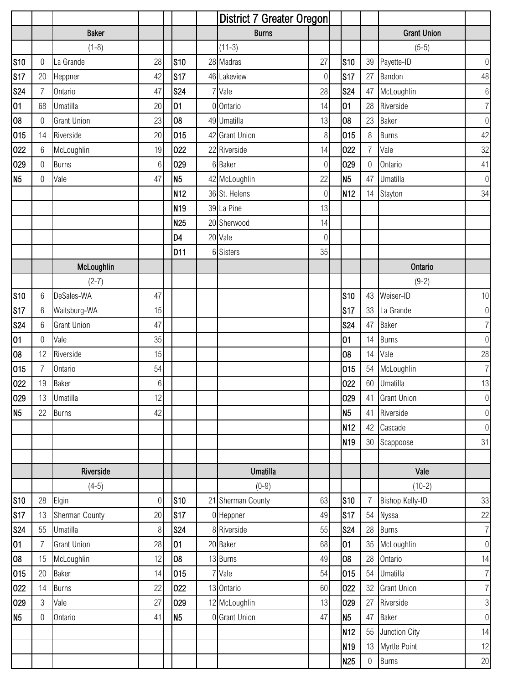|                |                  |                    |                |                 | District 7 Greater Oregon |                |                 |                  |                    |                |
|----------------|------------------|--------------------|----------------|-----------------|---------------------------|----------------|-----------------|------------------|--------------------|----------------|
|                |                  | <b>Baker</b>       |                |                 | <b>Burns</b>              |                |                 |                  | <b>Grant Union</b> |                |
|                |                  | $(1-8)$            |                |                 | $(11-3)$                  |                |                 |                  | $(5-5)$            |                |
| <b>S10</b>     | $\boldsymbol{0}$ | La Grande          | 28             | <b>S10</b>      | 28 Madras                 | 27             | <b>S10</b>      | 39               | Payette-ID         | $\overline{0}$ |
| <b>S17</b>     | 20               | Heppner            | 42             | <b>S17</b>      | 46 Lakeview               | $\overline{0}$ | <b>S17</b>      | 27               | Bandon             | 48             |
| <b>S24</b>     | $\overline{7}$   | Ontario            | 47             | <b>S24</b>      | 7 Vale                    | 28             | <b>S24</b>      | 47               | McLoughlin         | $6\,$          |
| 01             | 68               | <b>Umatilla</b>    | 20             | 01              | 0 Ontario                 | 14             | 01              | 28               | Riverside          | 7 <sup>1</sup> |
| 08             | 0                | <b>Grant Union</b> | 23             | 08              | 49 Umatilla               | 13             | 08              | 23               | <b>Baker</b>       | $\overline{0}$ |
| 015            | 14               | Riverside          | 20             | 015             | 42 Grant Union            | 8              | 015             | 8                | Burns              | 42             |
| 022            | 6                | McLoughlin         | 19             | 022             | 22 Riverside              | 14             | 022             | $\overline{7}$   | Vale               | 32             |
| 029            | $\overline{0}$   | <b>Burns</b>       | $6\,$          | 029             | 6 Baker                   | $\overline{0}$ | 029             | $\theta$         | Ontario            | 41             |
| N <sub>5</sub> | 0                | Vale               | 47             | N <sub>5</sub>  | 42 McLoughlin             | 22             | N <sub>5</sub>  | 47               | Umatilla           | $\overline{0}$ |
|                |                  |                    |                | N <sub>12</sub> | 36 St. Helens             | $\mathbf 0$    | N <sub>12</sub> | 14               | Stayton            | 34             |
|                |                  |                    |                | N <sub>19</sub> | 39 La Pine                | 13             |                 |                  |                    |                |
|                |                  |                    |                | N <sub>25</sub> | 20 Sherwood               | 14             |                 |                  |                    |                |
|                |                  |                    |                | D4              | 20 Vale                   | $\overline{0}$ |                 |                  |                    |                |
|                |                  |                    |                | D11             | 6 Sisters                 | 35             |                 |                  |                    |                |
|                |                  | McLoughlin         |                |                 |                           |                |                 |                  | Ontario            |                |
|                |                  | $(2-7)$            |                |                 |                           |                |                 |                  | $(9-2)$            |                |
| <b>S10</b>     | 6                | DeSales-WA         | 47             |                 |                           |                | S <sub>10</sub> | 43               | Weiser-ID          | 10             |
| <b>S17</b>     | 6                | Waitsburg-WA       | 15             |                 |                           |                | S17             | 33               | La Grande          | $\overline{0}$ |
| <b>S24</b>     | 6                | <b>Grant Union</b> | 47             |                 |                           |                | <b>S24</b>      | 47               | <b>Baker</b>       | 7 <sup>1</sup> |
| 01             | 0                | Vale               | 35             |                 |                           |                | 101             | 14               | <b>Burns</b>       | $\overline{0}$ |
| 08             | 12               | Riverside          | 15             |                 |                           |                | 08              | 14               | Vale               | 28             |
| 015            | 7                | Ontario            | 54             |                 |                           |                | 015             | 54               | McLoughlin         | 7 <sup>1</sup> |
| 022            | 19               | Baker              | 6              |                 |                           |                | 022             | 60               | Umatilla           | 13             |
| 029            |                  | 13 Umatilla        | 12             |                 |                           |                | 029             |                  | 41 Grant Union     | $\overline{0}$ |
| N <sub>5</sub> | 22               | <b>Burns</b>       | 42             |                 |                           |                | N <sub>5</sub>  | 41               | Riverside          | $\overline{0}$ |
|                |                  |                    |                |                 |                           |                | N <sub>12</sub> | 42               | Cascade            | $\overline{0}$ |
|                |                  |                    |                |                 |                           |                | N <sub>19</sub> | $30\,$           | Scappoose          | 31             |
|                |                  |                    |                |                 |                           |                |                 |                  |                    |                |
|                |                  | Riverside          |                |                 | <b>Umatilla</b>           |                |                 |                  | Vale               |                |
|                |                  | $(4-5)$            |                |                 | $(0-9)$                   |                |                 |                  | $(10-2)$           |                |
| <b>S10</b>     | 28               | Elgin              | $\overline{0}$ | <b>S10</b>      | 21 Sherman County         | 63             | <b>S10</b>      | $\overline{7}$   | Bishop Kelly-ID    | 33             |
| <b>S17</b>     | 13               | Sherman County     | 20             | <b>S17</b>      | 0 Heppner                 | 49             | <b>S17</b>      | 54               | Nyssa              | 22             |
| <b>S24</b>     | 55               | Umatilla           | 8              | <b>S24</b>      | 8 Riverside               | 55             | <b>S24</b>      | 28               | <b>Burns</b>       | 7 <sup>1</sup> |
| 01             | 7                | <b>Grant Union</b> | 28             | 01              | 20 Baker                  | 68             | 01              | 35               | McLoughlin         | $\overline{0}$ |
| 08             | 15               | McLoughlin         | 12             | 08              | 13 Burns                  | 49             | 08              | 28               | Ontario            | 14             |
| 015            | 20               | <b>Baker</b>       | 14             | 015             | 7 Vale                    | 54             | 015             | 54               | Umatilla           | 7              |
| 022            | 14               | <b>Burns</b>       | 22             | 022             | 13 Ontario                | 60             | 022             | 32               | <b>Grant Union</b> | 7              |
| 029            | 3                | Vale               | 27             | 029             | 12 McLoughlin             | 13             | 029             | 27               | Riverside          | 3              |
| N <sub>5</sub> | 0                | Ontario            | 41             | N <sub>5</sub>  | 0 Grant Union             | 47             | N <sub>5</sub>  | 47               | <b>Baker</b>       | $\overline{0}$ |
|                |                  |                    |                |                 |                           |                | N <sub>12</sub> | 55               | Junction City      | 14             |
|                |                  |                    |                |                 |                           |                | N <sub>19</sub> | 13               | Myrtle Point       | 12             |
|                |                  |                    |                |                 |                           |                | N <sub>25</sub> | $\boldsymbol{0}$ | <b>Burns</b>       | $20\,$         |